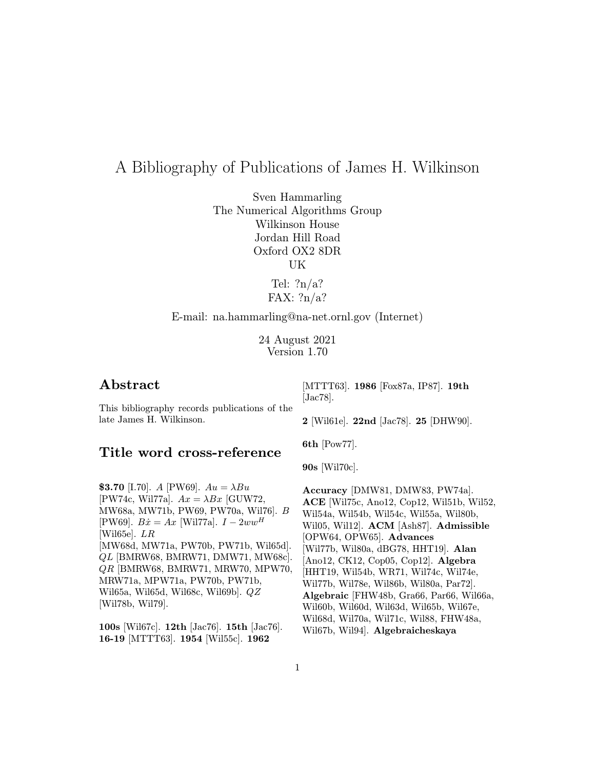# A Bibliography of Publications of James H. Wilkinson

Sven Hammarling The Numerical Algorithms Group Wilkinson House Jordan Hill Road Oxford OX2 8DR UK

> Tel:  $?n/a?$ FAX: ?n/a?

# E-mail: na.hammarling@na-net.ornl.gov (Internet)

24 August 2021 Version 1.70

# Abstract

This bibliography records publications of the late James H. Wilkinson.

# Title word cross-reference

[MTTT63]. 1986 [Fox87a, IP87]. 19th [Jac78].

2 [Wil61e]. 22nd [Jac78]. 25 [DHW90].

6th [Pow77].

90s [Wil70c].

**\$3.70** [I.70]. A [PW69].  $Au = \lambda Bu$ [PW74c, Wil77a].  $Ax = \lambda Bx$  [GUW72, MW68a, MW71b, PW69, PW70a, Wil76]. B [PW69].  $B\dot{x} = Ax$  [Wil77a].  $I - 2ww^H$ [Wil65e]. LR [MW68d, MW71a, PW70b, PW71b, Wil65d]. QL [BMRW68, BMRW71, DMW71, MW68c]. QR [BMRW68, BMRW71, MRW70, MPW70, MRW71a, MPW71a, PW70b, PW71b, Wil65a, Wil65d, Wil68c, Wil69b]. QZ [Wil78b, Wil79].

100s [Wil67c]. 12th [Jac76]. 15th [Jac76]. 16-19 [MTTT63]. 1954 [Wil55c]. 1962

Accuracy [DMW81, DMW83, PW74a]. ACE [Wil75c, Ano12, Cop12, Wil51b, Wil52, Wil54a, Wil54b, Wil54c, Wil55a, Wil80b, Wil05, Wil12]. ACM [Ash87]. Admissible [OPW64, OPW65]. Advances [Wil77b, Wil80a, dBG78, HHT19]. Alan [Ano12, CK12, Cop05, Cop12]. Algebra [HHT19, Wil54b, WR71, Wil74c, Wil74e, Wil77b, Wil78e, Wil86b, Wil80a, Par72]. Algebraic [FHW48b, Gra66, Par66, Wil66a, Wil60b, Wil60d, Wil63d, Wil65b, Wil67e, Wil68d, Wil70a, Wil71c, Wil88, FHW48a, Wil67b, Wil94]. Algebraicheskaya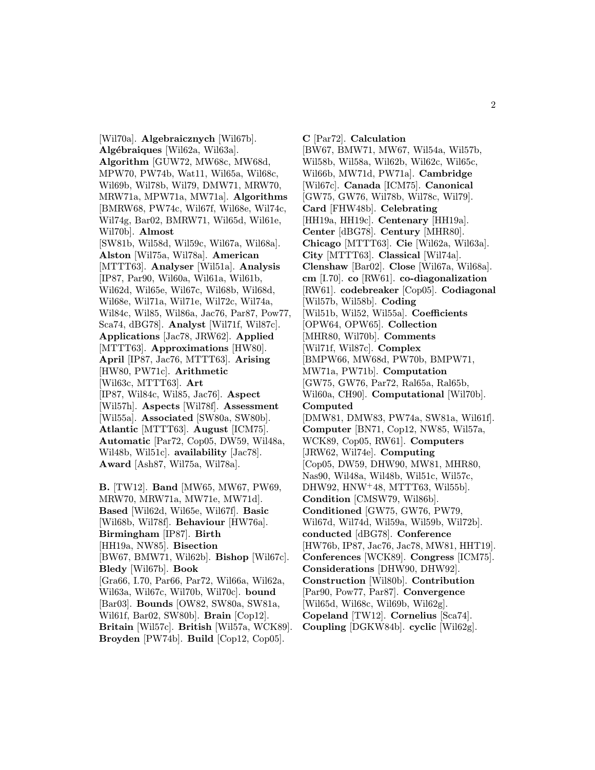[Wil70a]. Algebraicznych [Wil67b]. Algébraiques [Wil62a, Wil63a]. Algorithm [GUW72, MW68c, MW68d, MPW70, PW74b, Wat11, Wil65a, Wil68c, Wil69b, Wil78b, Wil79, DMW71, MRW70, MRW71a, MPW71a, MW71a]. Algorithms [BMRW68, PW74c, Wil67f, Wil68e, Wil74c, Wil74g, Bar02, BMRW71, Wil65d, Wil61e, Wil70b]. Almost [SW81b, Wil58d, Wil59c, Wil67a, Wil68a]. Alston [Wil75a, Wil78a]. American [MTTT63]. Analyser [Wil51a]. Analysis [IP87, Par90, Wil60a, Wil61a, Wil61b, Wil62d, Wil65e, Wil67c, Wil68b, Wil68d, Wil68e, Wil71a, Wil71e, Wil72c, Wil74a, Wil84c, Wil85, Wil86a, Jac76, Par87, Pow77, Sca74, dBG78]. Analyst [Wil71f, Wil87c]. Applications [Jac78, JRW62]. Applied [MTTT63]. **Approximations** [HW80]. April [IP87, Jac76, MTTT63]. Arising [HW80, PW71c]. Arithmetic [Wil63c, MTTT63]. Art [IP87, Wil84c, Wil85, Jac76]. Aspect [Wil57h]. Aspects [Wil78f]. Assessment [Wil55a]. Associated [SW80a, SW80b]. Atlantic [MTTT63]. August [ICM75]. Automatic [Par72, Cop05, DW59, Wil48a, Wil48b, Wil51c]. availability [Jac78]. Award [Ash87, Wil75a, Wil78a]. B. [TW12]. Band [MW65, MW67, PW69,

MRW70, MRW71a, MW71e, MW71d]. Based [Wil62d, Wil65e, Wil67f]. Basic [Wil68b, Wil78f]. Behaviour [HW76a]. Birmingham [IP87]. Birth [HH19a, NW85]. Bisection [BW67, BMW71, Wil62b]. Bishop [Wil67c]. Bledy [Wil67b]. Book [Gra66, I.70, Par66, Par72, Wil66a, Wil62a, Wil63a, Wil67c, Wil70b, Wil70c]. bound [Bar03]. Bounds [OW82, SW80a, SW81a, Wil61f, Bar02, SW80b]. Brain [Cop12]. Britain [Wil57c]. British [Wil57a, WCK89]. Broyden [PW74b]. Build [Cop12, Cop05].

C [Par72]. Calculation [BW67, BMW71, MW67, Wil54a, Wil57b, Wil58b, Wil58a, Wil62b, Wil62c, Wil65c, Wil66b, MW71d, PW71a]. Cambridge [Wil67c]. Canada [ICM75]. Canonical [GW75, GW76, Wil78b, Wil78c, Wil79]. Card [FHW48b]. Celebrating [HH19a, HH19c]. Centenary [HH19a]. Center [dBG78]. Century [MHR80]. Chicago [MTTT63]. Cie [Wil62a, Wil63a]. City [MTTT63]. Classical [Wil74a]. Clenshaw [Bar02]. Close [Wil67a, Wil68a]. cm [I.70]. co [RW61]. co-diagonalization [RW61]. codebreaker [Cop05]. Codiagonal [Wil57b, Wil58b]. Coding [Wil51b, Wil52, Wil55a]. Coefficients [OPW64, OPW65]. Collection [MHR80, Wil70b]. Comments [Wil71f, Wil87c]. Complex [BMPW66, MW68d, PW70b, BMPW71, MW71a, PW71b]. Computation [GW75, GW76, Par72, Ral65a, Ral65b, Wil60a, CH90]. Computational [Wil70b]. Computed [DMW81, DMW83, PW74a, SW81a, Wil61f]. Computer [BN71, Cop12, NW85, Wil57a, WCK89, Cop05, RW61]. Computers [JRW62, Wil74e]. Computing [Cop05, DW59, DHW90, MW81, MHR80, Nas90, Wil48a, Wil48b, Wil51c, Wil57c, DHW92, HNW<sup>+</sup>48, MTTT63, Wil55b]. Condition [CMSW79, Wil86b]. Conditioned [GW75, GW76, PW79, Wil67d, Wil74d, Wil59a, Wil59b, Wil72b]. conducted [dBG78]. Conference [HW76b, IP87, Jac76, Jac78, MW81, HHT19]. Conferences [WCK89]. Congress [ICM75]. Considerations [DHW90, DHW92]. Construction [Wil80b]. Contribution [Par90, Pow77, Par87]. Convergence [Wil65d, Wil68c, Wil69b, Wil62g]. Copeland [TW12]. Cornelius [Sca74]. Coupling [DGKW84b]. cyclic [Wil62g].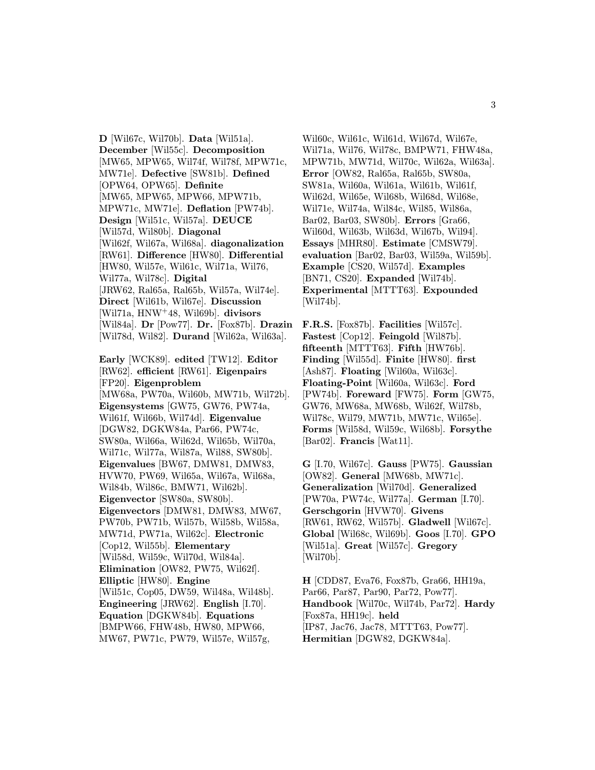D [Wil67c, Wil70b]. Data [Wil51a]. December [Wil55c]. Decomposition [MW65, MPW65, Wil74f, Wil78f, MPW71c, MW71e]. Defective [SW81b]. Defined [OPW64, OPW65]. Definite [MW65, MPW65, MPW66, MPW71b, MPW71c, MW71e]. Deflation [PW74b]. Design [Wil51c, Wil57a]. DEUCE [Wil57d, Wil80b]. Diagonal [Wil62f, Wil67a, Wil68a]. diagonalization [RW61]. Difference [HW80]. Differential [HW80, Wil57e, Wil61c, Wil71a, Wil76, Wil77a, Wil78c]. Digital [JRW62, Ral65a, Ral65b, Wil57a, Wil74e]. Direct [Wil61b, Wil67e]. Discussion [Wil71a, HNW<sup>+</sup>48, Wil69b]. divisors [Wil84a]. Dr [Pow77]. Dr. [Fox87b]. Drazin [Wil78d, Wil82]. Durand [Wil62a, Wil63a].

Early [WCK89]. edited [TW12]. Editor [RW62]. efficient [RW61]. Eigenpairs [FP20]. Eigenproblem [MW68a, PW70a, Wil60b, MW71b, Wil72b]. Eigensystems [GW75, GW76, PW74a, Wil61f, Wil66b, Wil74d]. Eigenvalue [DGW82, DGKW84a, Par66, PW74c, SW80a, Wil66a, Wil62d, Wil65b, Wil70a, Wil71c, Wil77a, Wil87a, Wil88, SW80b]. Eigenvalues [BW67, DMW81, DMW83, HVW70, PW69, Wil65a, Wil67a, Wil68a, Wil84b, Wil86c, BMW71, Wil62b]. Eigenvector [SW80a, SW80b]. Eigenvectors [DMW81, DMW83, MW67, PW70b, PW71b, Wil57b, Wil58b, Wil58a, MW71d, PW71a, Wil62c]. Electronic [Cop12, Wil55b]. Elementary [Wil58d, Wil59c, Wil70d, Wil84a]. Elimination [OW82, PW75, Wil62f]. Elliptic [HW80]. Engine [Wil51c, Cop05, DW59, Wil48a, Wil48b]. Engineering [JRW62]. English [I.70]. Equation [DGKW84b]. Equations [BMPW66, FHW48b, HW80, MPW66, MW67, PW71c, PW79, Wil57e, Wil57g,

Wil60c, Wil61c, Wil61d, Wil67d, Wil67e, Wil71a, Wil76, Wil78c, BMPW71, FHW48a, MPW71b, MW71d, Wil70c, Wil62a, Wil63a]. Error [OW82, Ral65a, Ral65b, SW80a, SW81a, Wil60a, Wil61a, Wil61b, Wil61f, Wil62d, Wil65e, Wil68b, Wil68d, Wil68e, Wil71e, Wil74a, Wil84c, Wil85, Wil86a, Bar02, Bar03, SW80b]. Errors [Gra66, Wil60d, Wil63b, Wil63d, Wil67b, Wil94]. Essays [MHR80]. Estimate [CMSW79]. evaluation [Bar02, Bar03, Wil59a, Wil59b]. Example [CS20, Wil57d]. Examples [BN71, CS20]. Expanded [Wil74b]. Experimental [MTTT63]. Expounded [Wil74b].

F.R.S. [Fox87b]. Facilities [Wil57c]. Fastest [Cop12]. Feingold [Wil87b]. fifteenth [MTTT63]. Fifth [HW76b]. Finding [Wil55d]. Finite [HW80]. first [Ash87]. Floating [Wil60a, Wil63c]. Floating-Point [Wil60a, Wil63c]. Ford [PW74b]. Foreward [FW75]. Form [GW75, GW76, MW68a, MW68b, Wil62f, Wil78b, Wil78c, Wil79, MW71b, MW71c, Wil65e]. Forms [Wil58d, Wil59c, Wil68b]. Forsythe [Bar02]. Francis [Wat11].

G [I.70, Wil67c]. Gauss [PW75]. Gaussian [OW82]. General [MW68b, MW71c]. Generalization [Wil70d]. Generalized [PW70a, PW74c, Wil77a]. German [I.70]. Gerschgorin [HVW70]. Givens [RW61, RW62, Wil57b]. Gladwell [Wil67c]. Global [Wil68c, Wil69b]. Goos [I.70]. GPO [Wil51a]. Great [Wil57c]. Gregory [Wil70b].

H [CDD87, Eva76, Fox87b, Gra66, HH19a, Par66, Par87, Par90, Par72, Pow77]. Handbook [Wil70c, Wil74b, Par72]. Hardy [Fox87a, HH19c]. held [IP87, Jac76, Jac78, MTTT63, Pow77]. Hermitian [DGW82, DGKW84a].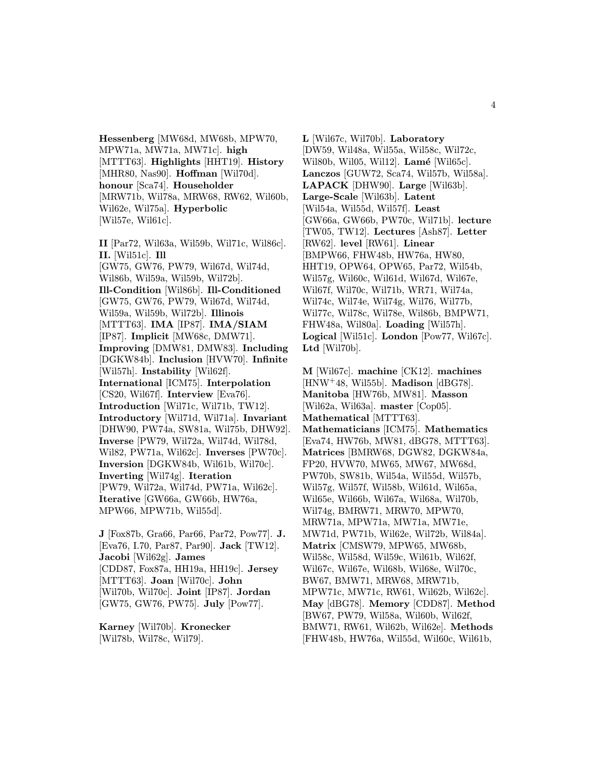Hessenberg [MW68d, MW68b, MPW70, MPW71a, MW71a, MW71c]. high [MTTT63]. Highlights [HHT19]. History [MHR80, Nas90]. **Hoffman** [Wil70d]. honour [Sca74]. Householder [MRW71b, Wil78a, MRW68, RW62, Wil60b, Wil62e, Wil75a]. Hyperbolic [Wil57e, Wil61c].

II [Par72, Wil63a, Wil59b, Wil71c, Wil86c]. II. [Wil51c]. Ill [GW75, GW76, PW79, Wil67d, Wil74d, Wil86b, Wil59a, Wil59b, Wil72b]. Ill-Condition [Wil86b]. Ill-Conditioned [GW75, GW76, PW79, Wil67d, Wil74d, Wil59a, Wil59b, Wil72b]. Illinois [MTTT63]. IMA [IP87]. IMA/SIAM [IP87]. Implicit [MW68c, DMW71]. Improving [DMW81, DMW83]. Including [DGKW84b]. Inclusion [HVW70]. Infinite [Wil57h]. Instability [Wil62f]. International [ICM75]. Interpolation [CS20, Wil67f]. Interview [Eva76]. Introduction [Wil71c, Wil71b, TW12]. Introductory [Wil71d, Wil71a]. Invariant [DHW90, PW74a, SW81a, Wil75b, DHW92]. Inverse [PW79, Wil72a, Wil74d, Wil78d, Wil82, PW71a, Wil62c]. Inverses [PW70c]. Inversion [DGKW84b, Wil61b, Wil70c]. Inverting [Wil74g]. Iteration [PW79, Wil72a, Wil74d, PW71a, Wil62c]. Iterative [GW66a, GW66b, HW76a, MPW66, MPW71b, Wil55d].

J [Fox87b, Gra66, Par66, Par72, Pow77]. J. [Eva76, I.70, Par87, Par90]. Jack [TW12]. Jacobi [Wil62g]. James [CDD87, Fox87a, HH19a, HH19c]. Jersey [MTTT63]. Joan [Wil70c]. John [Wil70b, Wil70c]. Joint [IP87]. Jordan [GW75, GW76, PW75]. July [Pow77].

Karney [Wil70b]. Kronecker [Wil78b, Wil78c, Wil79].

L [Wil67c, Wil70b]. Laboratory [DW59, Wil48a, Wil55a, Wil58c, Wil72c, Wil80b, Wil05, Wil12]. Lamé [Wil65c]. Lanczos [GUW72, Sca74, Wil57b, Wil58a]. LAPACK [DHW90]. Large [Wil63b]. Large-Scale [Wil63b]. Latent [Wil54a, Wil55d, Wil57f]. Least [GW66a, GW66b, PW70c, Wil71b]. lecture [TW05, TW12]. Lectures [Ash87]. Letter [RW62]. level [RW61]. Linear [BMPW66, FHW48b, HW76a, HW80, HHT19, OPW64, OPW65, Par72, Wil54b, Wil57g, Wil60c, Wil61d, Wil67d, Wil67e, Wil67f, Wil70c, Wil71b, WR71, Wil74a, Wil74c, Wil74e, Wil74g, Wil76, Wil77b, Wil77c, Wil78c, Wil78e, Wil86b, BMPW71, FHW48a, Wil80a]. Loading [Wil57h]. Logical [Wil51c]. London [Pow77, Wil67c]. Ltd [Wil70b].

M [Wil67c]. machine [CK12]. machines  $[HNW<sup>+</sup>48, Wil55b]$ . **Madison**  $[dBG78]$ . Manitoba [HW76b, MW81]. Masson [Wil62a, Wil63a]. master [Cop05]. Mathematical [MTTT63]. Mathematicians [ICM75]. Mathematics [Eva74, HW76b, MW81, dBG78, MTTT63]. Matrices [BMRW68, DGW82, DGKW84a, FP20, HVW70, MW65, MW67, MW68d, PW70b, SW81b, Wil54a, Wil55d, Wil57b, Wil57g, Wil57f, Wil58b, Wil61d, Wil65a, Wil65e, Wil66b, Wil67a, Wil68a, Wil70b, Wil74g, BMRW71, MRW70, MPW70, MRW71a, MPW71a, MW71a, MW71e, MW71d, PW71b, Wil62e, Wil72b, Wil84a]. Matrix [CMSW79, MPW65, MW68b, Wil58c, Wil58d, Wil59c, Wil61b, Wil62f, Wil67c, Wil67e, Wil68b, Wil68e, Wil70c, BW67, BMW71, MRW68, MRW71b, MPW71c, MW71c, RW61, Wil62b, Wil62c]. May [dBG78]. Memory [CDD87]. Method [BW67, PW79, Wil58a, Wil60b, Wil62f, BMW71, RW61, Wil62b, Wil62e]. Methods [FHW48b, HW76a, Wil55d, Wil60c, Wil61b,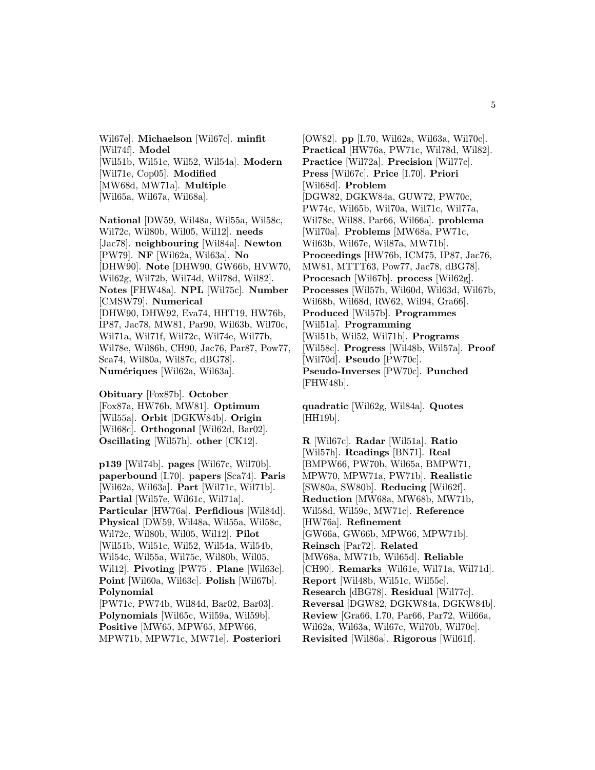Wil67e]. Michaelson [Wil67c]. minfit [Wil74f]. Model [Wil51b, Wil51c, Wil52, Wil54a]. Modern [Wil71e, Cop05]. Modified [MW68d, MW71a]. Multiple [Wil65a, Wil67a, Wil68a].

National [DW59, Wil48a, Wil55a, Wil58c, Wil72c, Wil80b, Wil05, Wil12]. needs [Jac78]. neighbouring [Wil84a]. Newton [PW79]. NF [Wil62a, Wil63a]. No [DHW90]. Note [DHW90, GW66b, HVW70, Wil62g, Wil72b, Wil74d, Wil78d, Wil82]. Notes [FHW48a]. NPL [Wil75c]. Number [CMSW79]. Numerical [DHW90, DHW92, Eva74, HHT19, HW76b, IP87, Jac78, MW81, Par90, Wil63b, Wil70c, Wil71a, Wil71f, Wil72c, Wil74e, Wil77b, Wil78e, Wil86b, CH90, Jac76, Par87, Pow77, Sca74, Wil80a, Wil87c, dBG78]. Numériques [Wil62a, Wil63a].

Obituary [Fox87b]. October [Fox87a, HW76b, MW81]. Optimum [Wil55a]. Orbit [DGKW84b]. Origin [Wil68c]. Orthogonal [Wil62d, Bar02]. Oscillating [Wil57h]. other [CK12].

p139 [Wil74b]. pages [Wil67c, Wil70b]. paperbound [I.70]. papers [Sca74]. Paris [Wil62a, Wil63a]. Part [Wil71c, Wil71b]. Partial [Wil57e, Wil61c, Wil71a]. Particular [HW76a]. Perfidious [Wil84d]. Physical [DW59, Wil48a, Wil55a, Wil58c, Wil72c, Wil80b, Wil05, Wil12]. Pilot [Wil51b, Wil51c, Wil52, Wil54a, Wil54b, Wil54c, Wil55a, Wil75c, Wil80b, Wil05, Wil12]. Pivoting [PW75]. Plane [Wil63c]. Point [Wil60a, Wil63c]. Polish [Wil67b]. Polynomial [PW71c, PW74b, Wil84d, Bar02, Bar03]. Polynomials [Wil65c, Wil59a, Wil59b]. Positive [MW65, MPW65, MPW66,

MPW71b, MPW71c, MW71e]. Posteriori

[OW82]. pp [I.70, Wil62a, Wil63a, Wil70c]. Practical [HW76a, PW71c, Wil78d, Wil82]. Practice [Wil72a]. Precision [Wil77c]. Press [Wil67c]. Price [I.70]. Priori [Wil68d]. Problem [DGW82, DGKW84a, GUW72, PW70c, PW74c, Wil65b, Wil70a, Wil71c, Wil77a, Wil78e, Wil88, Par66, Wil66a]. problema [Wil70a]. Problems [MW68a, PW71c, Wil63b, Wil67e, Wil87a, MW71b]. Proceedings [HW76b, ICM75, IP87, Jac76, MW81, MTTT63, Pow77, Jac78, dBG78]. Procesach [Wil67b]. process [Wil62g]. Processes [Wil57b, Wil60d, Wil63d, Wil67b, Wil68b, Wil68d, RW62, Wil94, Gra66]. Produced [Wil57b]. Programmes [Wil51a]. Programming [Wil51b, Wil52, Wil71b]. Programs [Wil58c]. Progress [Wil48b, Wil57a]. Proof [Wil70d]. Pseudo [PW70c]. Pseudo-Inverses [PW70c]. Punched [FHW48b].

quadratic [Wil62g, Wil84a]. Quotes [HH19b].

R [Wil67c]. Radar [Wil51a]. Ratio [Wil57h]. Readings [BN71]. Real [BMPW66, PW70b, Wil65a, BMPW71, MPW70, MPW71a, PW71b]. Realistic [SW80a, SW80b]. Reducing [Wil62f]. Reduction [MW68a, MW68b, MW71b, Wil58d, Wil59c, MW71c]. Reference [HW76a]. Refinement [GW66a, GW66b, MPW66, MPW71b]. Reinsch [Par72]. Related [MW68a, MW71b, Wil65d]. Reliable [CH90]. Remarks [Wil61e, Wil71a, Wil71d]. Report [Wil48b, Wil51c, Wil55c]. Research [dBG78]. Residual [Wil77c]. Reversal [DGW82, DGKW84a, DGKW84b]. Review [Gra66, I.70, Par66, Par72, Wil66a, Wil62a, Wil63a, Wil67c, Wil70b, Wil70c]. Revisited [Wil86a]. Rigorous [Wil61f].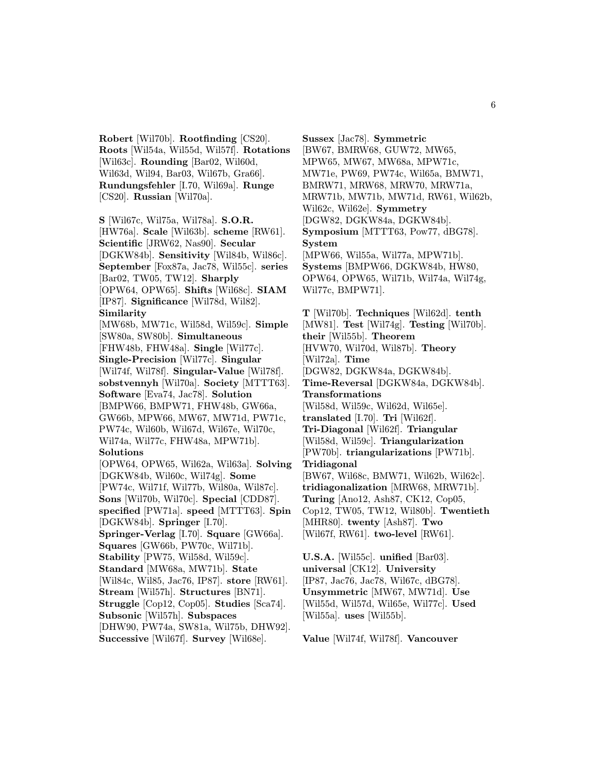Robert [Wil70b]. Rootfinding [CS20]. Roots [Wil54a, Wil55d, Wil57f]. Rotations [Wil63c]. Rounding [Bar02, Wil60d, Wil63d, Wil94, Bar03, Wil67b, Gra66]. Rundungsfehler [I.70, Wil69a]. Runge [CS20]. Russian [Wil70a].

S [Wil67c, Wil75a, Wil78a]. S.O.R. [HW76a]. Scale [Wil63b]. scheme [RW61]. Scientific [JRW62, Nas90]. Secular [DGKW84b]. Sensitivity [Wil84b, Wil86c]. September [Fox87a, Jac78, Wil55c]. series [Bar02, TW05, TW12]. Sharply [OPW64, OPW65]. Shifts [Wil68c]. SIAM [IP87]. Significance [Wil78d, Wil82]. Similarity [MW68b, MW71c, Wil58d, Wil59c]. Simple [SW80a, SW80b]. Simultaneous [FHW48b, FHW48a]. Single [Wil77c]. Single-Precision [Wil77c]. Singular [Wil74f, Wil78f]. Singular-Value [Wil78f]. sobstvennyh [Wil70a]. Society [MTTT63]. Software [Eva74, Jac78]. Solution [BMPW66, BMPW71, FHW48b, GW66a, GW66b, MPW66, MW67, MW71d, PW71c, PW74c, Wil60b, Wil67d, Wil67e, Wil70c, Wil74a, Wil77c, FHW48a, MPW71b]. Solutions [OPW64, OPW65, Wil62a, Wil63a]. Solving [DGKW84b, Wil60c, Wil74g]. Some [PW74c, Wil71f, Wil77b, Wil80a, Wil87c]. Sons [Wil70b, Wil70c]. Special [CDD87]. specified [PW71a]. speed [MTTT63]. Spin [DGKW84b]. Springer [I.70]. Springer-Verlag [I.70]. Square [GW66a]. Squares [GW66b, PW70c, Wil71b]. Stability [PW75, Wil58d, Wil59c]. Standard [MW68a, MW71b]. State [Wil84c, Wil85, Jac76, IP87]. store [RW61]. Stream [Wil57h]. Structures [BN71]. Struggle [Cop12, Cop05]. Studies [Sca74]. Subsonic [Wil57h]. Subspaces [DHW90, PW74a, SW81a, Wil75b, DHW92].

Successive [Wil67f]. Survey [Wil68e].

Sussex [Jac78]. Symmetric [BW67, BMRW68, GUW72, MW65, MPW65, MW67, MW68a, MPW71c, MW71e, PW69, PW74c, Wil65a, BMW71, BMRW71, MRW68, MRW70, MRW71a, MRW71b, MW71b, MW71d, RW61, Wil62b, Wil62c, Wil62e]. Symmetry [DGW82, DGKW84a, DGKW84b]. Symposium [MTTT63, Pow77, dBG78]. System [MPW66, Wil55a, Wil77a, MPW71b]. Systems [BMPW66, DGKW84b, HW80, OPW64, OPW65, Wil71b, Wil74a, Wil74g, Wil77c, BMPW71].

T [Wil70b]. Techniques [Wil62d]. tenth [MW81]. Test [Wil74g]. Testing [Wil70b]. their [Wil55b]. Theorem [HVW70, Wil70d, Wil87b]. Theory [Wil72a]. Time [DGW82, DGKW84a, DGKW84b]. Time-Reversal [DGKW84a, DGKW84b]. Transformations [Wil58d, Wil59c, Wil62d, Wil65e]. translated [I.70]. Tri [Wil62f]. Tri-Diagonal [Wil62f]. Triangular [Wil58d, Wil59c]. Triangularization [PW70b]. triangularizations [PW71b]. Tridiagonal [BW67, Wil68c, BMW71, Wil62b, Wil62c]. tridiagonalization [MRW68, MRW71b]. Turing [Ano12, Ash87, CK12, Cop05, Cop12, TW05, TW12, Wil80b]. Twentieth [MHR80]. twenty [Ash87]. Two [Wil67f, RW61]. two-level [RW61].

U.S.A. [Wil55c]. unified [Bar03]. universal [CK12]. University [IP87, Jac76, Jac78, Wil67c, dBG78]. Unsymmetric [MW67, MW71d]. Use [Wil55d, Wil57d, Wil65e, Wil77c]. Used [Wil55a]. uses [Wil55b].

Value [Wil74f, Wil78f]. Vancouver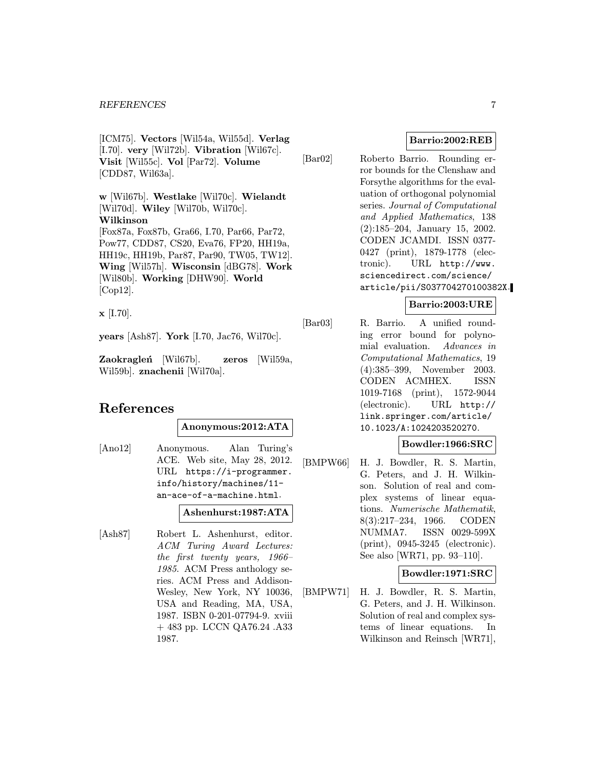[ICM75]. Vectors [Wil54a, Wil55d]. Verlag [I.70]. very [Wil72b]. Vibration [Wil67c]. Visit [Wil55c]. Vol [Par72]. Volume [CDD87, Wil63a].

w [Wil67b]. Westlake [Wil70c]. Wielandt [Wil70d]. Wiley [Wil70b, Wil70c]. Wilkinson [Fox87a, Fox87b, Gra66, I.70, Par66, Par72, Pow77, CDD87, CS20, Eva76, FP20, HH19a, HH19c, HH19b, Par87, Par90, TW05, TW12]. Wing [Wil57h]. Wisconsin [dBG78]. Work [Wil80b]. Working [DHW90]. World [Cop12].

 $\mathbf{x}$  [I.70].

years [Ash87]. York [I.70, Jac76, Wil70c].

Zaokragleń [Wil67b]. zeros [Wil59a, Wil59b]. znachenii [Wil70a].

# References

Anonymous:2012:ATA

[Ano12] Anonymous. Alan Turing's ACE. Web site, May 28, 2012. URL https://i-programmer. info/history/machines/11 an-ace-of-a-machine.html.

# Ashenhurst:1987:ATA

[Ash87] Robert L. Ashenhurst, editor. ACM Turing Award Lectures: the first twenty years, 1966– 1985. ACM Press anthology series. ACM Press and Addison-Wesley, New York, NY 10036, USA and Reading, MA, USA, 1987. ISBN 0-201-07794-9. xviii + 483 pp. LCCN QA76.24 .A33 1987.

# Barrio:2002:REB

[Bar02] Roberto Barrio. Rounding error bounds for the Clenshaw and Forsythe algorithms for the evaluation of orthogonal polynomial series. Journal of Computational and Applied Mathematics, 138 (2):185–204, January 15, 2002. CODEN JCAMDI. ISSN 0377- 0427 (print), 1879-1778 (electronic). URL http://www. sciencedirect.com/science/ article/pii/S037704270100382X.

# Barrio:2003:URE

[Bar03] R. Barrio. A unified rounding error bound for polynomial evaluation. Advances in Computational Mathematics, 19 (4):385–399, November 2003. CODEN ACMHEX. ISSN 1019-7168 (print), 1572-9044 (electronic). URL http:// link.springer.com/article/ 10.1023/A:1024203520270.

# Bowdler:1966:SRC

[BMPW66] H. J. Bowdler, R. S. Martin, G. Peters, and J. H. Wilkinson. Solution of real and complex systems of linear equations. Numerische Mathematik, 8(3):217–234, 1966. CODEN NUMMA7. ISSN 0029-599X (print), 0945-3245 (electronic). See also [WR71, pp. 93–110].

# Bowdler:1971:SRC

[BMPW71] H. J. Bowdler, R. S. Martin, G. Peters, and J. H. Wilkinson. Solution of real and complex systems of linear equations. In Wilkinson and Reinsch [WR71],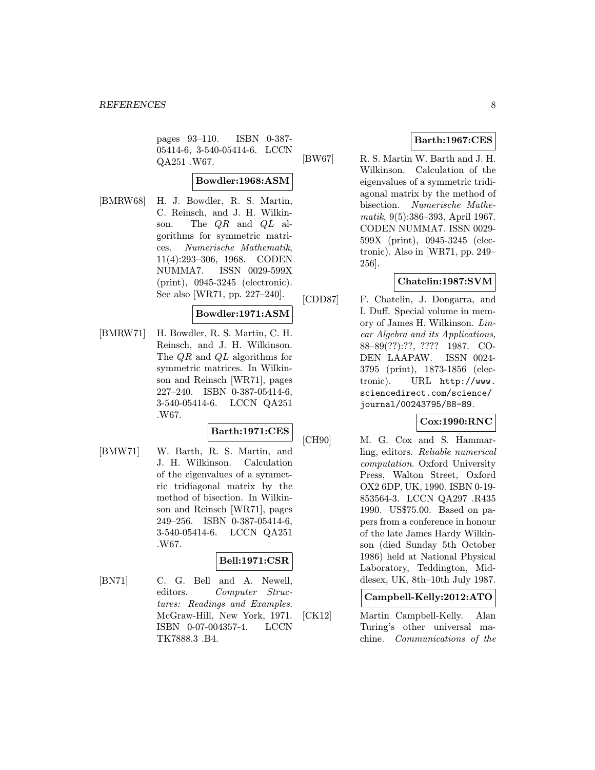pages 93–110. ISBN 0-387- 05414-6, 3-540-05414-6. LCCN QA251 .W67.

# Bowdler:1968:ASM

[BMRW68] H. J. Bowdler, R. S. Martin, C. Reinsch, and J. H. Wilkinson. The QR and QL algorithms for symmetric matrices. Numerische Mathematik, 11(4):293–306, 1968. CODEN NUMMA7. ISSN 0029-599X (print), 0945-3245 (electronic). See also [WR71, pp. 227–240].

# Bowdler:1971:ASM

[BMRW71] H. Bowdler, R. S. Martin, C. H. Reinsch, and J. H. Wilkinson. The QR and QL algorithms for symmetric matrices. In Wilkinson and Reinsch [WR71], pages 227–240. ISBN 0-387-05414-6, 3-540-05414-6. LCCN QA251 .W67.

# Barth:1971:CES

[BMW71] W. Barth, R. S. Martin, and J. H. Wilkinson. Calculation of the eigenvalues of a symmetric tridiagonal matrix by the method of bisection. In Wilkinson and Reinsch [WR71], pages 249–256. ISBN 0-387-05414-6, 3-540-05414-6. LCCN QA251 .W67.

# Bell:1971:CSR

[BN71] C. G. Bell and A. Newell, editors. Computer Structures: Readings and Examples. McGraw-Hill, New York, 1971. ISBN 0-07-004357-4. LCCN TK7888.3 .B4.

# Barth:1967:CES

[BW67] R. S. Martin W. Barth and J. H. Wilkinson. Calculation of the eigenvalues of a symmetric tridiagonal matrix by the method of bisection. Numerische Mathematik, 9(5):386–393, April 1967. CODEN NUMMA7. ISSN 0029- 599X (print), 0945-3245 (electronic). Also in [WR71, pp. 249– 256].

# Chatelin:1987:SVM

[CDD87] F. Chatelin, J. Dongarra, and I. Duff. Special volume in memory of James H. Wilkinson. Linear Algebra and its Applications, 88–89(??):??, ???? 1987. CO-DEN LAAPAW. ISSN 0024- 3795 (print), 1873-1856 (electronic). URL http://www. sciencedirect.com/science/ journal/00243795/88-89.

# Cox:1990:RNC

[CH90] M. G. Cox and S. Hammarling, editors. Reliable numerical computation. Oxford University Press, Walton Street, Oxford OX2 6DP, UK, 1990. ISBN 0-19- 853564-3. LCCN QA297 .R435 1990. US\$75.00. Based on papers from a conference in honour of the late James Hardy Wilkinson (died Sunday 5th October 1986) held at National Physical Laboratory, Teddington, Middlesex, UK, 8th–10th July 1987.

# Campbell-Kelly:2012:ATO

[CK12] Martin Campbell-Kelly. Alan Turing's other universal machine. Communications of the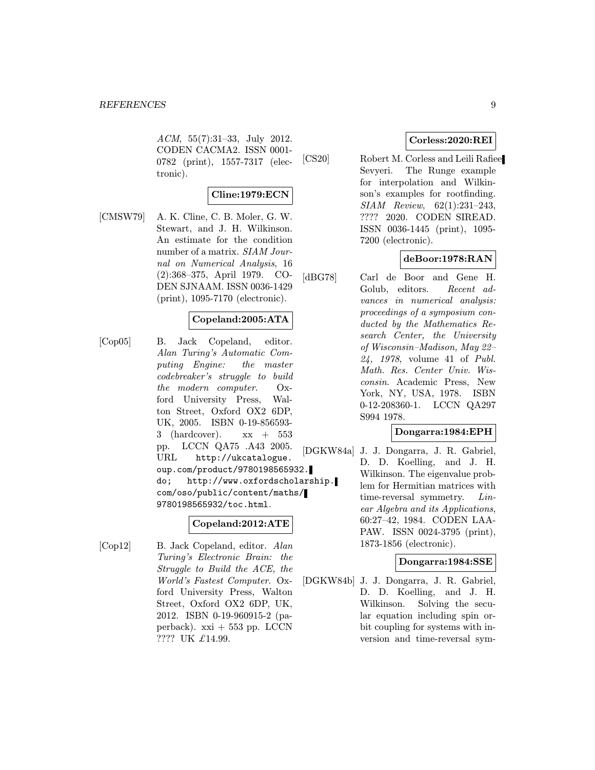ACM, 55(7):31–33, July 2012. CODEN CACMA2. ISSN 0001- 0782 (print), 1557-7317 (electronic).

# Cline:1979:ECN

[CMSW79] A. K. Cline, C. B. Moler, G. W. Stewart, and J. H. Wilkinson. An estimate for the condition number of a matrix. SIAM Journal on Numerical Analysis, 16 (2):368–375, April 1979. CO-DEN SJNAAM. ISSN 0036-1429 (print), 1095-7170 (electronic).

# Copeland:2005:ATA

[Cop05] B. Jack Copeland, editor. Alan Turing's Automatic Computing Engine: the master codebreaker's struggle to build the modern computer. Oxford University Press, Walton Street, Oxford OX2 6DP, UK, 2005. ISBN 0-19-856593- 3 (hardcover).  $xx + 553$ pp. LCCN QA75 .A43 2005. URL http://ukcatalogue. oup.com/product/9780198565932. do; http://www.oxfordscholarship. com/oso/public/content/maths/ 9780198565932/toc.html.

# Copeland:2012:ATE

[Cop12] B. Jack Copeland, editor. Alan Turing's Electronic Brain: the Struggle to Build the ACE, the World's Fastest Computer. Oxford University Press, Walton Street, Oxford OX2 6DP, UK, 2012. ISBN 0-19-960915-2 (paperback).  $xxi + 553$  pp. LCCN ???? UK £14.99.

# Corless:2020:REI

[CS20] Robert M. Corless and Leili Rafiee Sevyeri. The Runge example for interpolation and Wilkinson's examples for rootfinding. SIAM Review, 62(1):231–243, ???? 2020. CODEN SIREAD. ISSN 0036-1445 (print), 1095- 7200 (electronic).

# deBoor:1978:RAN

[dBG78] Carl de Boor and Gene H. Golub, editors. Recent advances in numerical analysis: proceedings of a symposium conducted by the Mathematics Research Center, the University of Wisconsin–Madison, May 22– 24, 1978, volume 41 of Publ. Math. Res. Center Univ. Wisconsin. Academic Press, New York, NY, USA, 1978. ISBN 0-12-208360-1. LCCN QA297 S994 1978.

# Dongarra:1984:EPH

[DGKW84a] J. J. Dongarra, J. R. Gabriel, D. D. Koelling, and J. H. Wilkinson. The eigenvalue problem for Hermitian matrices with time-reversal symmetry. Linear Algebra and its Applications, 60:27–42, 1984. CODEN LAA-PAW. ISSN 0024-3795 (print), 1873-1856 (electronic).

# Dongarra:1984:SSE

[DGKW84b] J. J. Dongarra, J. R. Gabriel, D. D. Koelling, and J. H. Wilkinson. Solving the secular equation including spin orbit coupling for systems with inversion and time-reversal sym-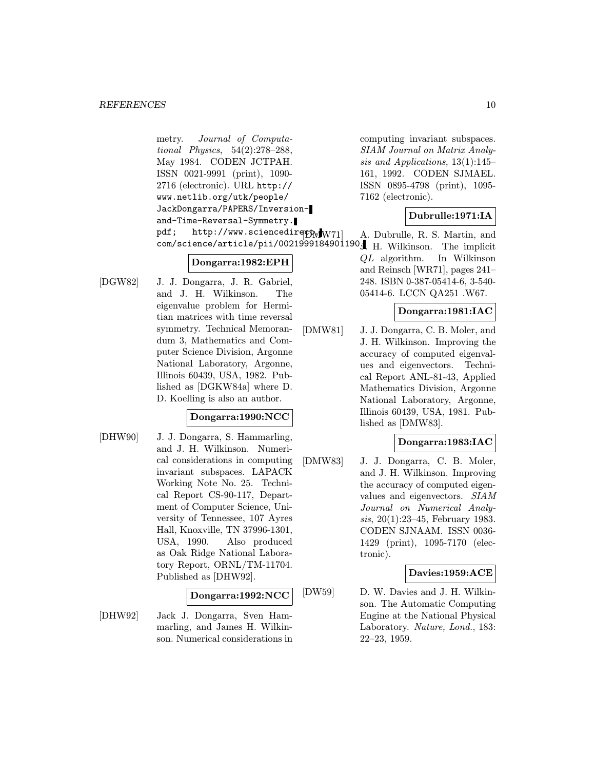metry. Journal of Computational Physics, 54(2):278–288, May 1984. CODEN JCTPAH. ISSN 0021-9991 (print), 1090- 2716 (electronic). URL http:// www.netlib.org/utk/people/ JackDongarra/PAPERS/Inversionand-Time-Reversal-Symmetry. pdf; http://www.sciencedirect.www.science.com/

# Dongarra:1982:EPH

[DGW82] J. J. Dongarra, J. R. Gabriel, and J. H. Wilkinson. The eigenvalue problem for Hermitian matrices with time reversal symmetry. Technical Memorandum 3, Mathematics and Computer Science Division, Argonne National Laboratory, Argonne, Illinois 60439, USA, 1982. Published as [DGKW84a] where D. D. Koelling is also an author.

# Dongarra:1990:NCC

[DHW90] J. J. Dongarra, S. Hammarling, and J. H. Wilkinson. Numerical considerations in computing invariant subspaces. LAPACK Working Note No. 25. Technical Report CS-90-117, Department of Computer Science, University of Tennessee, 107 Ayres Hall, Knoxville, TN 37996-1301, USA, 1990. Also produced as Oak Ridge National Laboratory Report, ORNL/TM-11704. Published as [DHW92].

# Dongarra:1992:NCC

[DHW92] Jack J. Dongarra, Sven Hammarling, and James H. Wilkinson. Numerical considerations in computing invariant subspaces. SIAM Journal on Matrix Analysis and Applications, 13(1):145– 161, 1992. CODEN SJMAEL. ISSN 0895-4798 (print), 1095- 7162 (electronic).

# Dubrulle:1971:IA

com/science/article/pii/0021999184901190. J. H. Wilkinson. The implicit A. Dubrulle, R. S. Martin, and QL algorithm. In Wilkinson and Reinsch [WR71], pages 241– 248. ISBN 0-387-05414-6, 3-540- 05414-6. LCCN QA251 .W67.

# Dongarra:1981:IAC

[DMW81] J. J. Dongarra, C. B. Moler, and J. H. Wilkinson. Improving the accuracy of computed eigenvalues and eigenvectors. Technical Report ANL-81-43, Applied Mathematics Division, Argonne National Laboratory, Argonne, Illinois 60439, USA, 1981. Published as [DMW83].

# Dongarra:1983:IAC

[DMW83] J. J. Dongarra, C. B. Moler, and J. H. Wilkinson. Improving the accuracy of computed eigenvalues and eigenvectors. SIAM Journal on Numerical Analysis, 20(1):23–45, February 1983. CODEN SJNAAM. ISSN 0036- 1429 (print), 1095-7170 (electronic).

# Davies:1959:ACE

[DW59] D. W. Davies and J. H. Wilkinson. The Automatic Computing Engine at the National Physical Laboratory. Nature, Lond., 183: 22–23, 1959.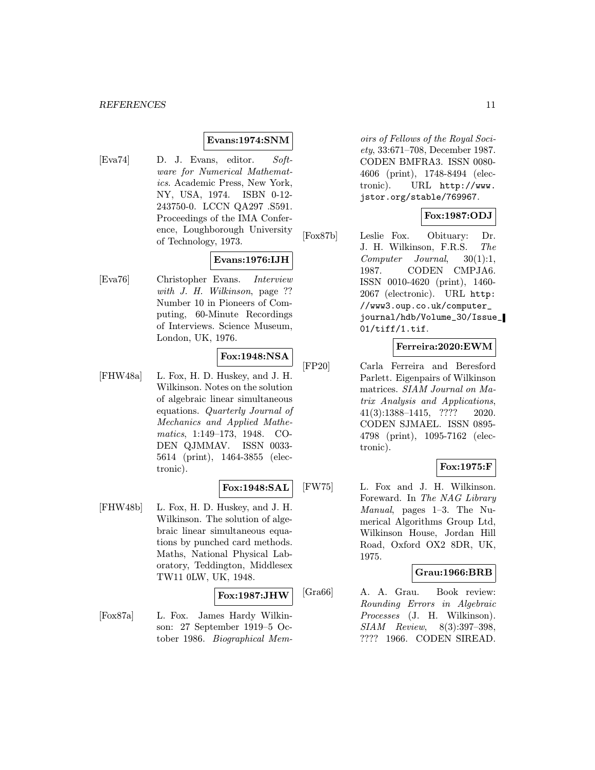# Evans:1974:SNM

[Eva74] D. J. Evans, editor. Software for Numerical Mathematics. Academic Press, New York, NY, USA, 1974. ISBN 0-12- 243750-0. LCCN QA297 .S591. Proceedings of the IMA Conference, Loughborough University of Technology, 1973.

# Evans:1976:IJH

[Eva76] Christopher Evans. Interview with J. H. Wilkinson, page ?? Number 10 in Pioneers of Computing, 60-Minute Recordings of Interviews. Science Museum, London, UK, 1976.

# Fox:1948:NSA

[FHW48a] L. Fox, H. D. Huskey, and J. H. Wilkinson. Notes on the solution of algebraic linear simultaneous equations. Quarterly Journal of Mechanics and Applied Mathematics, 1:149–173, 1948. CO-DEN QJMMAV. ISSN 0033- 5614 (print), 1464-3855 (electronic).

# Fox:1948:SAL

[FHW48b] L. Fox, H. D. Huskey, and J. H. Wilkinson. The solution of algebraic linear simultaneous equations by punched card methods. Maths, National Physical Laboratory, Teddington, Middlesex TW11 0LW, UK, 1948.

#### Fox:1987:JHW

[Fox87a] L. Fox. James Hardy Wilkinson: 27 September 1919–5 October 1986. Biographical Mem-

oirs of Fellows of the Royal Society, 33:671–708, December 1987. CODEN BMFRA3. ISSN 0080- 4606 (print), 1748-8494 (electronic). URL http://www. jstor.org/stable/769967.

# Fox:1987:ODJ

[Fox87b] Leslie Fox. Obituary: Dr. J. H. Wilkinson, F.R.S. The Computer Journal, 30(1):1, 1987. CODEN CMPJA6. ISSN 0010-4620 (print), 1460- 2067 (electronic). URL http: //www3.oup.co.uk/computer\_ journal/hdb/Volume\_30/Issue\_ 01/tiff/1.tif.

# Ferreira:2020:EWM

[FP20] Carla Ferreira and Beresford Parlett. Eigenpairs of Wilkinson matrices. SIAM Journal on Matrix Analysis and Applications, 41(3):1388–1415, ???? 2020. CODEN SJMAEL. ISSN 0895- 4798 (print), 1095-7162 (electronic).

# Fox:1975:F

[FW75] L. Fox and J. H. Wilkinson. Foreward. In The NAG Library Manual, pages 1–3. The Numerical Algorithms Group Ltd, Wilkinson House, Jordan Hill Road, Oxford OX2 8DR, UK, 1975.

# Grau:1966:BRB

[Gra66] A. A. Grau. Book review: Rounding Errors in Algebraic Processes (J. H. Wilkinson). SIAM Review, 8(3):397–398, ???? 1966. CODEN SIREAD.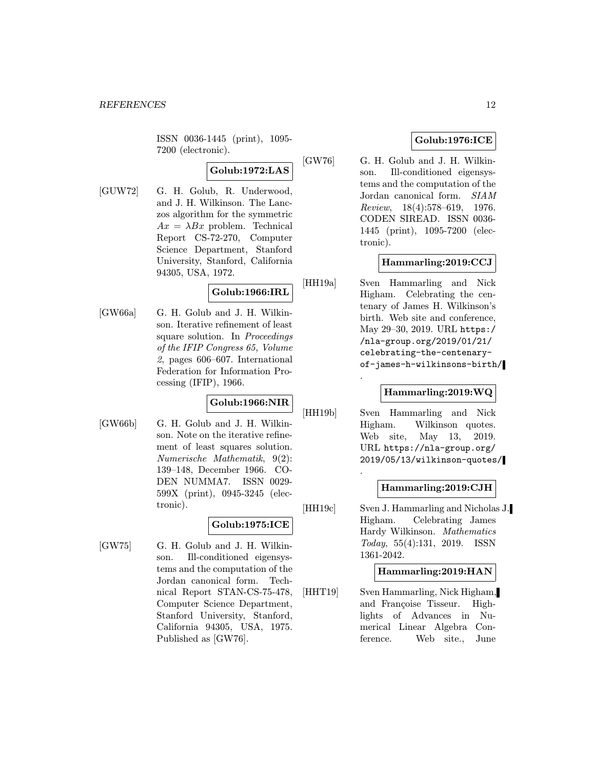ISSN 0036-1445 (print), 1095- 7200 (electronic).

# Golub:1972:LAS

[GUW72] G. H. Golub, R. Underwood, and J. H. Wilkinson. The Lanczos algorithm for the symmetric  $Ax = \lambda Bx$  problem. Technical Report CS-72-270, Computer Science Department, Stanford University, Stanford, California 94305, USA, 1972.

# Golub:1966:IRL

[GW66a] G. H. Golub and J. H. Wilkinson. Iterative refinement of least square solution. In Proceedings of the IFIP Congress 65, Volume 2, pages 606–607. International Federation for Information Processing (IFIP), 1966.

# Golub:1966:NIR

[GW66b] G. H. Golub and J. H. Wilkinson. Note on the iterative refinement of least squares solution. Numerische Mathematik, 9(2): 139–148, December 1966. CO-DEN NUMMA7. ISSN 0029- 599X (print), 0945-3245 (electronic).

# Golub:1975:ICE

[GW75] G. H. Golub and J. H. Wilkinson. Ill-conditioned eigensystems and the computation of the Jordan canonical form. Technical Report STAN-CS-75-478, Computer Science Department, Stanford University, Stanford, California 94305, USA, 1975. Published as [GW76].

# Golub:1976:ICE

[GW76] G. H. Golub and J. H. Wilkinson. Ill-conditioned eigensystems and the computation of the Jordan canonical form. SIAM Review, 18(4):578–619, 1976. CODEN SIREAD. ISSN 0036- 1445 (print), 1095-7200 (electronic).

# Hammarling:2019:CCJ

[HH19a] Sven Hammarling and Nick Higham. Celebrating the centenary of James H. Wilkinson's birth. Web site and conference, May 29–30, 2019. URL https:/ /nla-group.org/2019/01/21/ celebrating-the-centenaryof-james-h-wilkinsons-birth/ .

# Hammarling:2019:WQ

[HH19b] Sven Hammarling and Nick Higham. Wilkinson quotes. Web site, May 13, 2019. URL https://nla-group.org/ 2019/05/13/wilkinson-quotes/

.

# Hammarling:2019:CJH

[HH19c] Sven J. Hammarling and Nicholas J. Higham. Celebrating James Hardy Wilkinson. Mathematics Today, 55(4):131, 2019. ISSN 1361-2042.

# Hammarling:2019:HAN

[HHT19] Sven Hammarling, Nick Higham, and Françoise Tisseur. Highlights of Advances in Numerical Linear Algebra Conference. Web site., June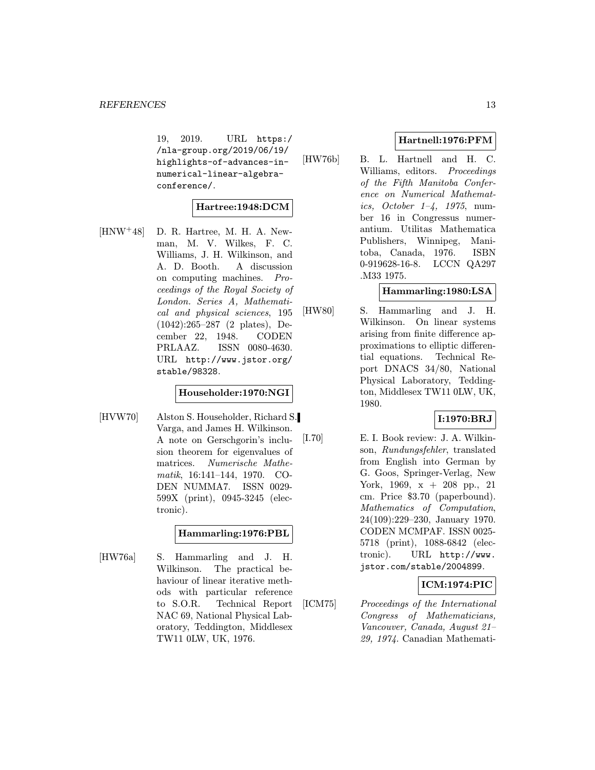19, 2019. URL https:/ /nla-group.org/2019/06/19/ highlights-of-advances-innumerical-linear-algebraconference/.

# Hartree:1948:DCM

[HNW<sup>+</sup>48] D. R. Hartree, M. H. A. Newman, M. V. Wilkes, F. C. Williams, J. H. Wilkinson, and A. D. Booth. A discussion on computing machines. Proceedings of the Royal Society of London. Series A, Mathematical and physical sciences, 195 (1042):265–287 (2 plates), December 22, 1948. CODEN PRLAAZ. ISSN 0080-4630. URL http://www.jstor.org/ stable/98328.

# Householder:1970:NGI

[HVW70] Alston S. Householder, Richard S. Varga, and James H. Wilkinson. A note on Gerschgorin's inclusion theorem for eigenvalues of matrices. Numerische Mathematik, 16:141–144, 1970. CO-DEN NUMMA7. ISSN 0029- 599X (print), 0945-3245 (electronic).

# Hammarling:1976:PBL

[HW76a] S. Hammarling and J. H. Wilkinson. The practical behaviour of linear iterative methods with particular reference to S.O.R. Technical Report NAC 69, National Physical Laboratory, Teddington, Middlesex TW11 0LW, UK, 1976.

# Hartnell:1976:PFM

[HW76b] B. L. Hartnell and H. C. Williams, editors. Proceedings of the Fifth Manitoba Conference on Numerical Mathematics, October  $1-\frac{4}{7}$ , 1975, number 16 in Congressus numerantium. Utilitas Mathematica Publishers, Winnipeg, Manitoba, Canada, 1976. ISBN 0-919628-16-8. LCCN QA297 .M33 1975.

# Hammarling:1980:LSA

[HW80] S. Hammarling and J. H. Wilkinson. On linear systems arising from finite difference approximations to elliptic differential equations. Technical Report DNACS 34/80, National Physical Laboratory, Teddington, Middlesex TW11 0LW, UK, 1980.

# I:1970:BRJ

[I.70] E. I. Book review: J. A. Wilkinson, Rundungsfehler, translated from English into German by G. Goos, Springer-Verlag, New York, 1969, x + 208 pp., 21 cm. Price \$3.70 (paperbound). Mathematics of Computation, 24(109):229–230, January 1970. CODEN MCMPAF. ISSN 0025- 5718 (print), 1088-6842 (electronic). URL http://www. jstor.com/stable/2004899.

# ICM:1974:PIC

[ICM75] Proceedings of the International Congress of Mathematicians, Vancouver, Canada, August 21– 29, 1974. Canadian Mathemati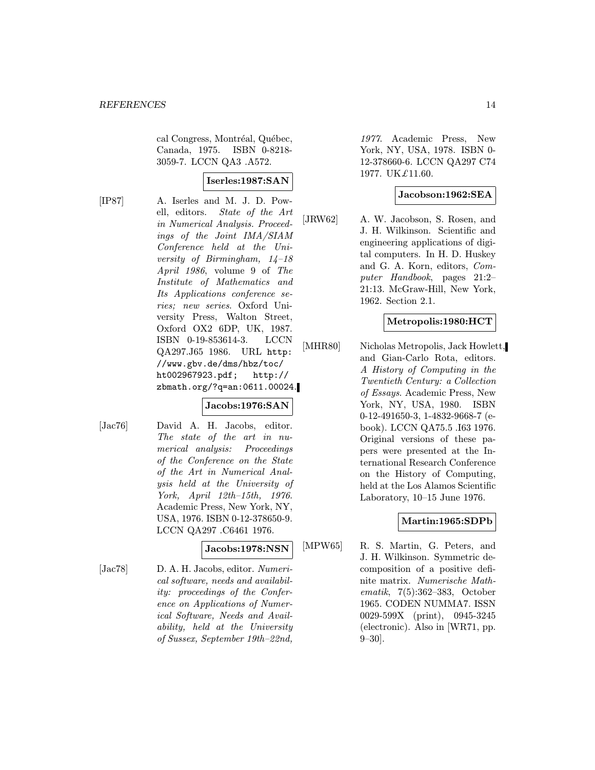cal Congress, Montréal, Québec, Canada, 1975. ISBN 0-8218- 3059-7. LCCN QA3 .A572.

# Iserles:1987:SAN

[IP87] A. Iserles and M. J. D. Powell, editors. State of the Art in Numerical Analysis. Proceedings of the Joint IMA/SIAM Conference held at the University of Birmingham, 14–18 April 1986, volume 9 of The Institute of Mathematics and Its Applications conference series; new series. Oxford University Press, Walton Street, Oxford OX2 6DP, UK, 1987. ISBN 0-19-853614-3. LCCN QA297.J65 1986. URL http: //www.gbv.de/dms/hbz/toc/ ht002967923.pdf; http:// zbmath.org/?q=an:0611.00024.

# Jacobs:1976:SAN

[Jac76] David A. H. Jacobs, editor. The state of the art in numerical analysis: Proceedings of the Conference on the State of the Art in Numerical Analysis held at the University of York, April 12th–15th, 1976. Academic Press, New York, NY, USA, 1976. ISBN 0-12-378650-9. LCCN QA297 .C6461 1976.

# Jacobs:1978:NSN

[Jac78] D. A. H. Jacobs, editor. Numerical software, needs and availability: proceedings of the Conference on Applications of Numerical Software, Needs and Availability, held at the University of Sussex, September 19th–22nd,

1977. Academic Press, New York, NY, USA, 1978. ISBN 0- 12-378660-6. LCCN QA297 C74 1977. UK£11.60.

# Jacobson:1962:SEA

[JRW62] A. W. Jacobson, S. Rosen, and J. H. Wilkinson. Scientific and engineering applications of digital computers. In H. D. Huskey and G. A. Korn, editors, Computer Handbook, pages 21:2– 21:13. McGraw-Hill, New York, 1962. Section 2.1.

# Metropolis:1980:HCT

[MHR80] Nicholas Metropolis, Jack Howlett, and Gian-Carlo Rota, editors. A History of Computing in the Twentieth Century: a Collection of Essays. Academic Press, New York, NY, USA, 1980. ISBN 0-12-491650-3, 1-4832-9668-7 (ebook). LCCN QA75.5 .I63 1976. Original versions of these papers were presented at the International Research Conference on the History of Computing, held at the Los Alamos Scientific Laboratory, 10–15 June 1976.

# Martin:1965:SDPb

[MPW65] R. S. Martin, G. Peters, and J. H. Wilkinson. Symmetric decomposition of a positive definite matrix. Numerische Mathematik, 7(5):362–383, October 1965. CODEN NUMMA7. ISSN 0029-599X (print), 0945-3245 (electronic). Also in [WR71, pp.  $9 - 30$ .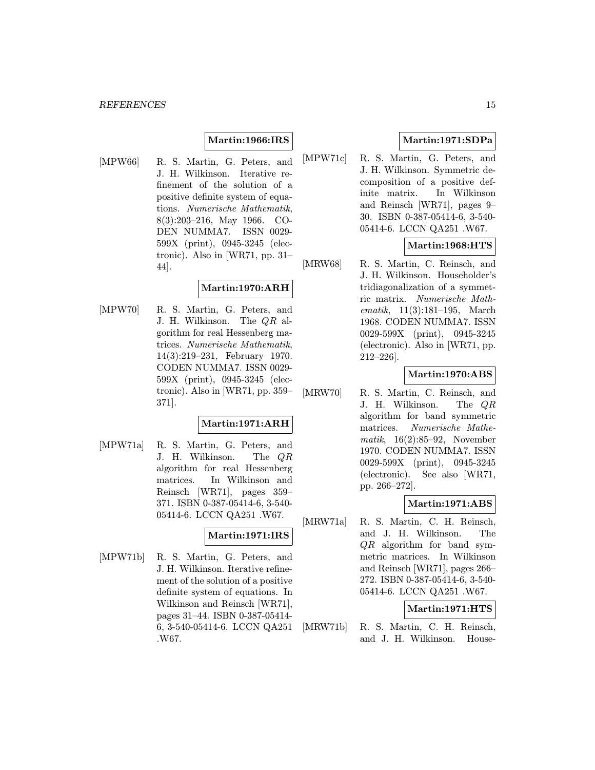# Martin:1966:IRS

[MPW66] R. S. Martin, G. Peters, and J. H. Wilkinson. Iterative refinement of the solution of a positive definite system of equations. Numerische Mathematik, 8(3):203–216, May 1966. CO-DEN NUMMA7. ISSN 0029- 599X (print), 0945-3245 (electronic). Also in [WR71, pp. 31– 44].

# Martin:1970:ARH

[MPW70] R. S. Martin, G. Peters, and J. H. Wilkinson. The QR algorithm for real Hessenberg matrices. Numerische Mathematik, 14(3):219–231, February 1970. CODEN NUMMA7. ISSN 0029- 599X (print), 0945-3245 (electronic). Also in [WR71, pp. 359– 371].

#### Martin:1971:ARH

[MPW71a] R. S. Martin, G. Peters, and J. H. Wilkinson. The QR algorithm for real Hessenberg matrices. In Wilkinson and Reinsch [WR71], pages 359– 371. ISBN 0-387-05414-6, 3-540- 05414-6. LCCN QA251 .W67.

# Martin:1971:IRS

[MPW71b] R. S. Martin, G. Peters, and J. H. Wilkinson. Iterative refinement of the solution of a positive definite system of equations. In Wilkinson and Reinsch [WR71], pages 31–44. ISBN 0-387-05414- 6, 3-540-05414-6. LCCN QA251 .W67.

# Martin:1971:SDPa

[MPW71c] R. S. Martin, G. Peters, and J. H. Wilkinson. Symmetric decomposition of a positive definite matrix. In Wilkinson and Reinsch [WR71], pages 9– 30. ISBN 0-387-05414-6, 3-540- 05414-6. LCCN QA251 .W67.

# Martin:1968:HTS

[MRW68] R. S. Martin, C. Reinsch, and J. H. Wilkinson. Householder's tridiagonalization of a symmetric matrix. Numerische Mathematik, 11(3):181–195, March 1968. CODEN NUMMA7. ISSN 0029-599X (print), 0945-3245 (electronic). Also in [WR71, pp. 212–226].

# Martin:1970:ABS

[MRW70] R. S. Martin, C. Reinsch, and J. H. Wilkinson. The QR algorithm for band symmetric matrices. Numerische Mathematik,  $16(2):85-92$ , November 1970. CODEN NUMMA7. ISSN 0029-599X (print), 0945-3245 (electronic). See also [WR71, pp. 266–272].

# Martin:1971:ABS

[MRW71a] R. S. Martin, C. H. Reinsch, and J. H. Wilkinson. The QR algorithm for band symmetric matrices. In Wilkinson and Reinsch [WR71], pages 266– 272. ISBN 0-387-05414-6, 3-540- 05414-6. LCCN QA251 .W67.

# Martin:1971:HTS

[MRW71b] R. S. Martin, C. H. Reinsch, and J. H. Wilkinson. House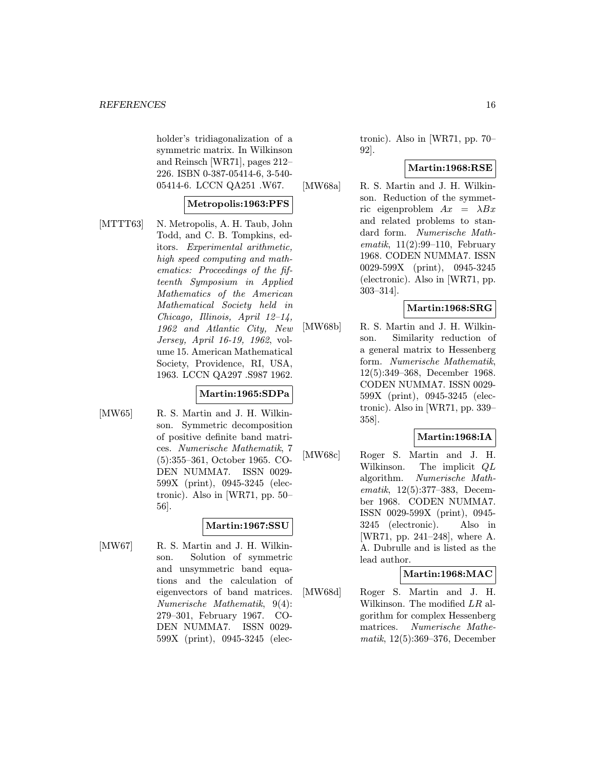holder's tridiagonalization of a symmetric matrix. In Wilkinson and Reinsch [WR71], pages 212– 226. ISBN 0-387-05414-6, 3-540- 05414-6. LCCN QA251 .W67.

# Metropolis:1963:PFS

[MTTT63] N. Metropolis, A. H. Taub, John Todd, and C. B. Tompkins, editors. Experimental arithmetic, high speed computing and mathematics: Proceedings of the fifteenth Symposium in Applied Mathematics of the American Mathematical Society held in Chicago, Illinois, April 12–14, 1962 and Atlantic City, New Jersey, April 16-19, 1962, volume 15. American Mathematical Society, Providence, RI, USA, 1963. LCCN QA297 .S987 1962.

# Martin:1965:SDPa

[MW65] R. S. Martin and J. H. Wilkinson. Symmetric decomposition of positive definite band matrices. Numerische Mathematik, 7 (5):355–361, October 1965. CO-DEN NUMMA7. ISSN 0029- 599X (print), 0945-3245 (electronic). Also in [WR71, pp. 50– 56].

# Martin:1967:SSU

[MW67] R. S. Martin and J. H. Wilkinson. Solution of symmetric and unsymmetric band equations and the calculation of eigenvectors of band matrices. Numerische Mathematik, 9(4): 279–301, February 1967. CO-DEN NUMMA7. ISSN 0029- 599X (print), 0945-3245 (elec-

tronic). Also in [WR71, pp. 70– 92].

# Martin:1968:RSE

[MW68a] R. S. Martin and J. H. Wilkinson. Reduction of the symmetric eigenproblem  $Ax = \lambda Bx$ and related problems to standard form. Numerische Mathematik,  $11(2):99-110$ , February 1968. CODEN NUMMA7. ISSN 0029-599X (print), 0945-3245 (electronic). Also in [WR71, pp. 303–314].

# Martin:1968:SRG

[MW68b] R. S. Martin and J. H. Wilkinson. Similarity reduction of a general matrix to Hessenberg form. Numerische Mathematik, 12(5):349–368, December 1968. CODEN NUMMA7. ISSN 0029- 599X (print), 0945-3245 (electronic). Also in [WR71, pp. 339– 358].

# Martin:1968:IA

[MW68c] Roger S. Martin and J. H. Wilkinson. The implicit QL algorithm. Numerische Mathematik, 12(5):377–383, December 1968. CODEN NUMMA7. ISSN 0029-599X (print), 0945- 3245 (electronic). Also in [WR71, pp. 241–248], where A. A. Dubrulle and is listed as the lead author.

# Martin:1968:MAC

[MW68d] Roger S. Martin and J. H. Wilkinson. The modified LR algorithm for complex Hessenberg matrices. Numerische Mathematik, 12(5):369–376, December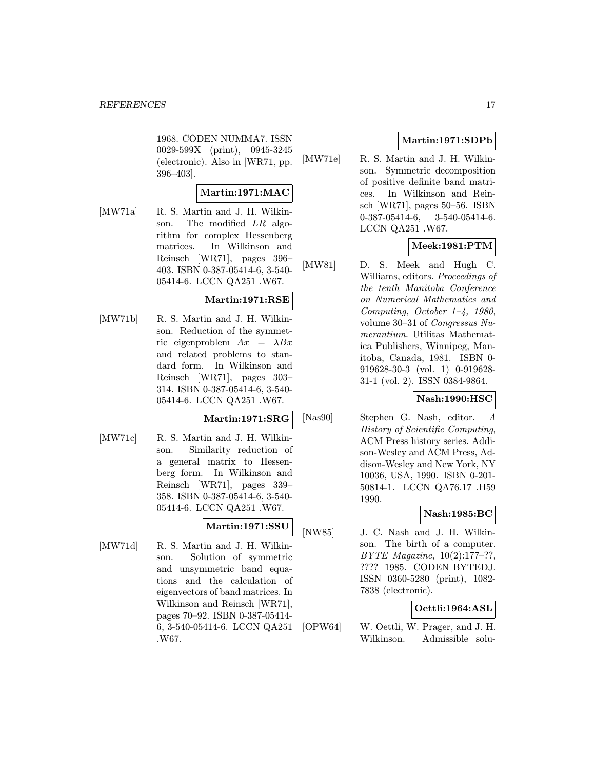1968. CODEN NUMMA7. ISSN 0029-599X (print), 0945-3245 (electronic). Also in [WR71, pp. 396–403].

# Martin:1971:MAC

[MW71a] R. S. Martin and J. H. Wilkinson. The modified LR algorithm for complex Hessenberg matrices. In Wilkinson and Reinsch [WR71], pages 396– 403. ISBN 0-387-05414-6, 3-540- 05414-6. LCCN QA251 .W67.

# Martin:1971:RSE

[MW71b] R. S. Martin and J. H. Wilkinson. Reduction of the symmetric eigenproblem  $Ax = \lambda Bx$ and related problems to standard form. In Wilkinson and Reinsch [WR71], pages 303– 314. ISBN 0-387-05414-6, 3-540- 05414-6. LCCN QA251 .W67.

# Martin:1971:SRG

[MW71c] R. S. Martin and J. H. Wilkinson. Similarity reduction of a general matrix to Hessenberg form. In Wilkinson and Reinsch [WR71], pages 339– 358. ISBN 0-387-05414-6, 3-540- 05414-6. LCCN QA251 .W67.

# Martin:1971:SSU

[MW71d] R. S. Martin and J. H. Wilkinson. Solution of symmetric and unsymmetric band equations and the calculation of eigenvectors of band matrices. In Wilkinson and Reinsch [WR71], pages 70–92. ISBN 0-387-05414- 6, 3-540-05414-6. LCCN QA251 .W67.

# Martin:1971:SDPb

[MW71e] R. S. Martin and J. H. Wilkinson. Symmetric decomposition of positive definite band matrices. In Wilkinson and Reinsch [WR71], pages 50–56. ISBN 0-387-05414-6, 3-540-05414-6. LCCN QA251 .W67.

# Meek:1981:PTM

[MW81] D. S. Meek and Hugh C. Williams, editors. Proceedings of the tenth Manitoba Conference on Numerical Mathematics and Computing, October 1–4, 1980, volume 30–31 of Congressus Numerantium. Utilitas Mathematica Publishers, Winnipeg, Manitoba, Canada, 1981. ISBN 0- 919628-30-3 (vol. 1) 0-919628- 31-1 (vol. 2). ISSN 0384-9864.

# Nash:1990:HSC

[Nas90] Stephen G. Nash, editor. A History of Scientific Computing, ACM Press history series. Addison-Wesley and ACM Press, Addison-Wesley and New York, NY 10036, USA, 1990. ISBN 0-201- 50814-1. LCCN QA76.17 .H59 1990.

# Nash:1985:BC

[NW85] J. C. Nash and J. H. Wilkinson. The birth of a computer. BYTE Magazine, 10(2):177–??, ???? 1985. CODEN BYTEDJ. ISSN 0360-5280 (print), 1082- 7838 (electronic).

# Oettli:1964:ASL

[OPW64] W. Oettli, W. Prager, and J. H. Wilkinson. Admissible solu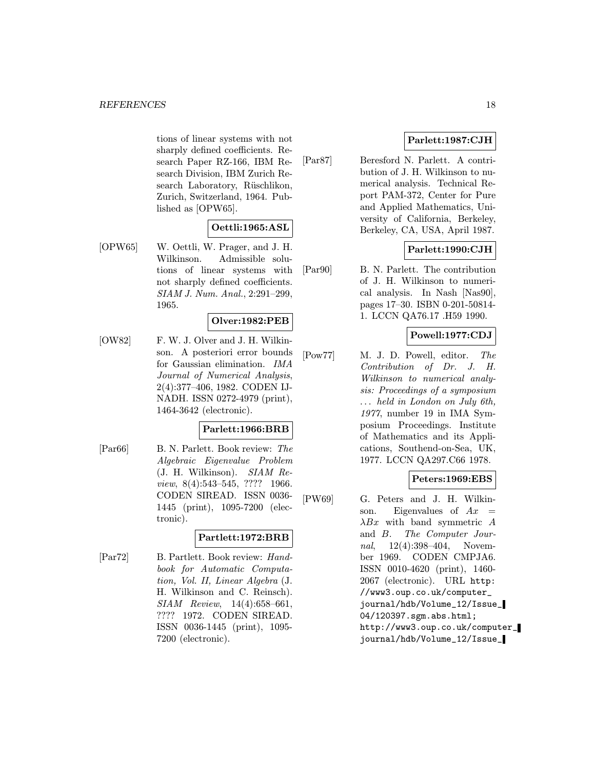tions of linear systems with not sharply defined coefficients. Research Paper RZ-166, IBM Research Division, IBM Zurich Research Laboratory, Rüschlikon, Zurich, Switzerland, 1964. Published as [OPW65].

# Oettli:1965:ASL

[OPW65] W. Oettli, W. Prager, and J. H. Wilkinson. Admissible solutions of linear systems with not sharply defined coefficients. SIAM J. Num. Anal., 2:291–299, 1965.

# Olver:1982:PEB

[OW82] F. W. J. Olver and J. H. Wilkinson. A posteriori error bounds for Gaussian elimination. IMA Journal of Numerical Analysis, 2(4):377–406, 1982. CODEN IJ-NADH. ISSN 0272-4979 (print), 1464-3642 (electronic).

# Parlett:1966:BRB

[Par66] B. N. Parlett. Book review: The Algebraic Eigenvalue Problem (J. H. Wilkinson). SIAM Review, 8(4):543–545, ???? 1966. CODEN SIREAD. ISSN 0036- 1445 (print), 1095-7200 (electronic).

# Partlett:1972:BRB

[Par72] B. Partlett. Book review: Handbook for Automatic Computation, Vol. II, Linear Algebra (J. H. Wilkinson and C. Reinsch). SIAM Review, 14(4):658–661, ???? 1972. CODEN SIREAD. ISSN 0036-1445 (print), 1095- 7200 (electronic).

# Parlett:1987:CJH

[Par87] Beresford N. Parlett. A contribution of J. H. Wilkinson to numerical analysis. Technical Report PAM-372, Center for Pure and Applied Mathematics, University of California, Berkeley, Berkeley, CA, USA, April 1987.

# Parlett:1990:CJH

[Par90] B. N. Parlett. The contribution of J. H. Wilkinson to numerical analysis. In Nash [Nas90], pages 17–30. ISBN 0-201-50814- 1. LCCN QA76.17 .H59 1990.

# Powell:1977:CDJ

[Pow77] M. J. D. Powell, editor. The Contribution of Dr. J. H. Wilkinson to numerical analysis: Proceedings of a symposium ... held in London on July 6th, 1977, number 19 in IMA Symposium Proceedings. Institute of Mathematics and its Applications, Southend-on-Sea, UK, 1977. LCCN QA297.C66 1978.

# Peters:1969:EBS

[PW69] G. Peters and J. H. Wilkinson. Eigenvalues of  $Ax =$  $\lambda Bx$  with band symmetric A and B. The Computer Journal, 12(4):398-404, November 1969. CODEN CMPJA6. ISSN 0010-4620 (print), 1460- 2067 (electronic). URL http: //www3.oup.co.uk/computer\_ journal/hdb/Volume\_12/Issue\_ 04/120397.sgm.abs.html; http://www3.oup.co.uk/computer\_ journal/hdb/Volume\_12/Issue\_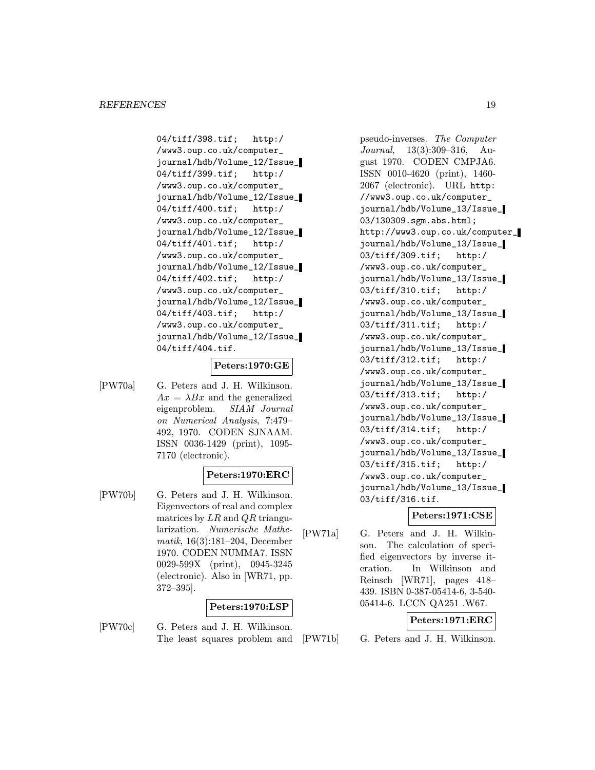04/tiff/398.tif; http:/ /www3.oup.co.uk/computer\_ journal/hdb/Volume\_12/Issue\_ 04/tiff/399.tif; http:/ /www3.oup.co.uk/computer\_ journal/hdb/Volume\_12/Issue\_ 04/tiff/400.tif; http:/ /www3.oup.co.uk/computer\_ journal/hdb/Volume\_12/Issue\_ 04/tiff/401.tif; http:/ /www3.oup.co.uk/computer\_ journal/hdb/Volume\_12/Issue\_ 04/tiff/402.tif; http:/ /www3.oup.co.uk/computer\_ journal/hdb/Volume\_12/Issue\_ 04/tiff/403.tif; http:/ /www3.oup.co.uk/computer\_ journal/hdb/Volume\_12/Issue\_ 04/tiff/404.tif.

# Peters:1970:GE

[PW70a] G. Peters and J. H. Wilkinson.  $Ax = \lambda Bx$  and the generalized eigenproblem. SIAM Journal on Numerical Analysis, 7:479– 492, 1970. CODEN SJNAAM. ISSN 0036-1429 (print), 1095- 7170 (electronic).

#### Peters:1970:ERC

[PW70b] G. Peters and J. H. Wilkinson. Eigenvectors of real and complex matrices by  $LR$  and  $QR$  triangularization. Numerische Mathematik, 16(3):181–204, December 1970. CODEN NUMMA7. ISSN 0029-599X (print), 0945-3245 (electronic). Also in [WR71, pp. 372–395].

# Peters:1970:LSP

[PW70c] G. Peters and J. H. Wilkinson. The least squares problem and

pseudo-inverses. The Computer Journal, 13(3):309–316, August 1970. CODEN CMPJA6. ISSN 0010-4620 (print), 1460- 2067 (electronic). URL http: //www3.oup.co.uk/computer\_ journal/hdb/Volume\_13/Issue\_ 03/130309.sgm.abs.html; http://www3.oup.co.uk/computer\_ journal/hdb/Volume\_13/Issue\_ 03/tiff/309.tif; http:/ /www3.oup.co.uk/computer\_ journal/hdb/Volume\_13/Issue\_ 03/tiff/310.tif; http:/ /www3.oup.co.uk/computer\_ journal/hdb/Volume\_13/Issue\_ 03/tiff/311.tif; http:/ /www3.oup.co.uk/computer\_ journal/hdb/Volume\_13/Issue\_ 03/tiff/312.tif; http:/ /www3.oup.co.uk/computer\_ journal/hdb/Volume\_13/Issue\_ 03/tiff/313.tif; http:/ /www3.oup.co.uk/computer\_ journal/hdb/Volume\_13/Issue\_ 03/tiff/314.tif; http:/ /www3.oup.co.uk/computer\_ journal/hdb/Volume\_13/Issue\_ 03/tiff/315.tif; http:/ /www3.oup.co.uk/computer\_ journal/hdb/Volume\_13/Issue\_ 03/tiff/316.tif.

#### Peters:1971:CSE

[PW71a] G. Peters and J. H. Wilkinson. The calculation of specified eigenvectors by inverse iteration. In Wilkinson and Reinsch [WR71], pages 418– 439. ISBN 0-387-05414-6, 3-540- 05414-6. LCCN QA251 .W67.

# Peters:1971:ERC

[PW71b] G. Peters and J. H. Wilkinson.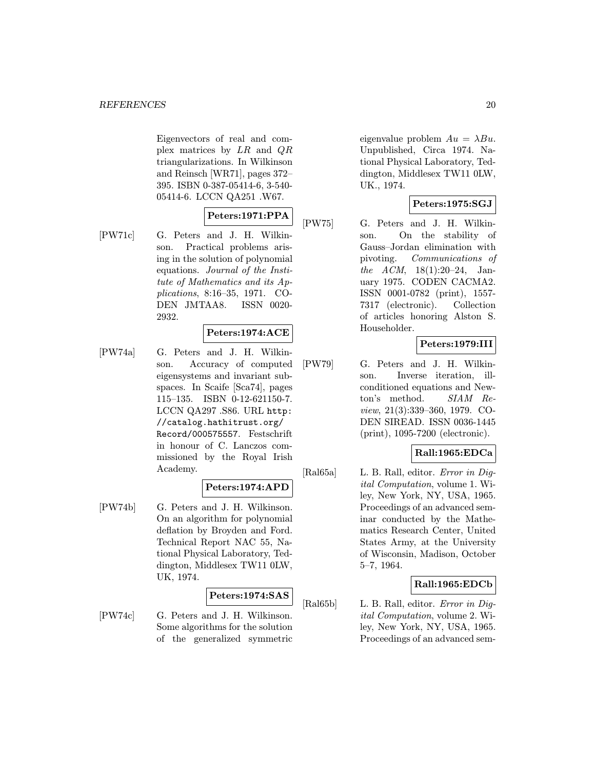Eigenvectors of real and complex matrices by LR and QR triangularizations. In Wilkinson and Reinsch [WR71], pages 372– 395. ISBN 0-387-05414-6, 3-540- 05414-6. LCCN QA251 .W67.

# Peters:1971:PPA

[PW71c] G. Peters and J. H. Wilkinson. Practical problems arising in the solution of polynomial equations. Journal of the Institute of Mathematics and its Applications, 8:16–35, 1971. CO-DEN JMTAA8. ISSN 0020-

2932.

# Peters:1974:ACE

[PW74a] G. Peters and J. H. Wilkinson. Accuracy of computed eigensystems and invariant subspaces. In Scaife [Sca74], pages 115–135. ISBN 0-12-621150-7. LCCN QA297 .S86. URL http: //catalog.hathitrust.org/ Record/000575557. Festschrift in honour of C. Lanczos commissioned by the Royal Irish Academy.

# Peters:1974:APD

[PW74b] G. Peters and J. H. Wilkinson. On an algorithm for polynomial deflation by Broyden and Ford. Technical Report NAC 55, National Physical Laboratory, Teddington, Middlesex TW11 0LW, UK, 1974.

# Peters:1974:SAS

[PW74c] G. Peters and J. H. Wilkinson. Some algorithms for the solution of the generalized symmetric

eigenvalue problem  $Au = \lambda Bu$ . Unpublished, Circa 1974. National Physical Laboratory, Teddington, Middlesex TW11 0LW, UK., 1974.

# Peters:1975:SGJ

[PW75] G. Peters and J. H. Wilkinson. On the stability of Gauss–Jordan elimination with pivoting. Communications of the ACM, 18(1):20–24, January 1975. CODEN CACMA2. ISSN 0001-0782 (print), 1557- 7317 (electronic). Collection of articles honoring Alston S. Householder.

# Peters:1979:III

[PW79] G. Peters and J. H. Wilkinson. Inverse iteration, illconditioned equations and Newton's method. SIAM Review, 21(3):339–360, 1979. CO-DEN SIREAD. ISSN 0036-1445 (print), 1095-7200 (electronic).

# Rall:1965:EDCa

[Ral65a] L. B. Rall, editor. Error in Digital Computation, volume 1. Wiley, New York, NY, USA, 1965. Proceedings of an advanced seminar conducted by the Mathematics Research Center, United States Army, at the University of Wisconsin, Madison, October 5–7, 1964.

# Rall:1965:EDCb

[Ral65b] L. B. Rall, editor. Error in Digital Computation, volume 2. Wiley, New York, NY, USA, 1965. Proceedings of an advanced sem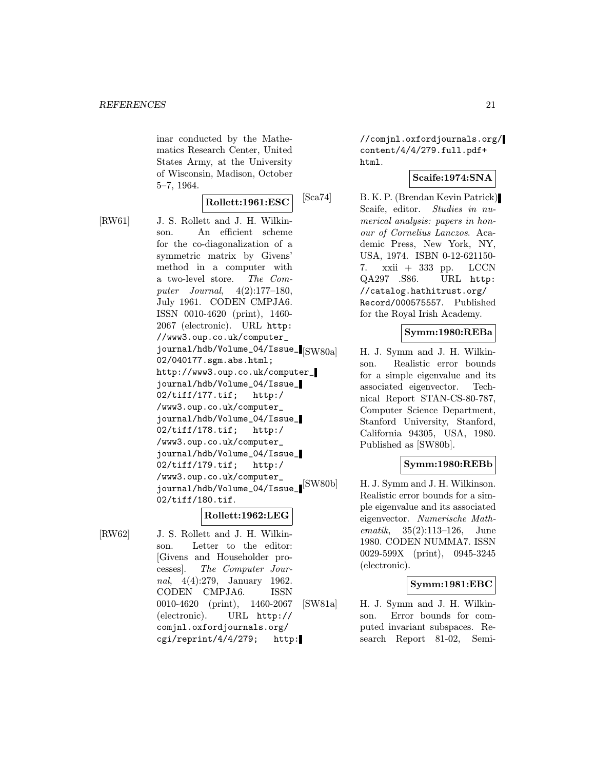inar conducted by the Mathematics Research Center, United States Army, at the University of Wisconsin, Madison, October 5–7, 1964.

# Rollett:1961:ESC

[RW61] J. S. Rollett and J. H. Wilkinson. An efficient scheme for the co-diagonalization of a symmetric matrix by Givens' method in a computer with a two-level store. The Computer Journal, 4(2):177–180, July 1961. CODEN CMPJA6. ISSN 0010-4620 (print), 1460- 2067 (electronic). URL http: //www3.oup.co.uk/computer\_ journal/hdb/Volume\_04/Issue\_ 02/040177.sgm.abs.html; http://www3.oup.co.uk/computer\_ journal/hdb/Volume\_04/Issue\_ 02/tiff/177.tif; http:/ /www3.oup.co.uk/computer\_ journal/hdb/Volume\_04/Issue\_ 02/tiff/178.tif; http:/ /www3.oup.co.uk/computer\_ journal/hdb/Volume\_04/Issue\_ 02/tiff/179.tif; http:/ /www3.oup.co.uk/computer\_ journal/hdb/Volume\_04/Issue\_ $\left[ \frac{\text{SW80b}}{\text{SW80b}} \right]$ 02/tiff/180.tif.

# Rollett:1962:LEG

[RW62] J. S. Rollett and J. H. Wilkinson. Letter to the editor: [Givens and Householder processes]. The Computer Journal, 4(4):279, January 1962. CODEN CMPJA6. ISSN 0010-4620 (print), 1460-2067 (electronic). URL http:// comjnl.oxfordjournals.org/ cgi/reprint/4/4/279; http:

//comjnl.oxfordjournals.org/ content/4/4/279.full.pdf+ html.

# Scaife:1974:SNA

[Sca74] B. K. P. (Brendan Kevin Patrick) Scaife, editor. Studies in numerical analysis: papers in honour of Cornelius Lanczos. Academic Press, New York, NY, USA, 1974. ISBN 0-12-621150- 7. xxii + 333 pp. LCCN QA297 .S86. URL http: //catalog.hathitrust.org/ Record/000575557. Published for the Royal Irish Academy.

# Symm:1980:REBa

H. J. Symm and J. H. Wilkinson. Realistic error bounds for a simple eigenvalue and its associated eigenvector. Technical Report STAN-CS-80-787, Computer Science Department, Stanford University, Stanford, California 94305, USA, 1980. Published as [SW80b].

# Symm:1980:REBb

H. J. Symm and J. H. Wilkinson. Realistic error bounds for a simple eigenvalue and its associated eigenvector. Numerische Mathematik, 35(2):113–126, June 1980. CODEN NUMMA7. ISSN 0029-599X (print), 0945-3245 (electronic).

# Symm:1981:EBC

[SW81a] H. J. Symm and J. H. Wilkinson. Error bounds for computed invariant subspaces. Research Report 81-02, Semi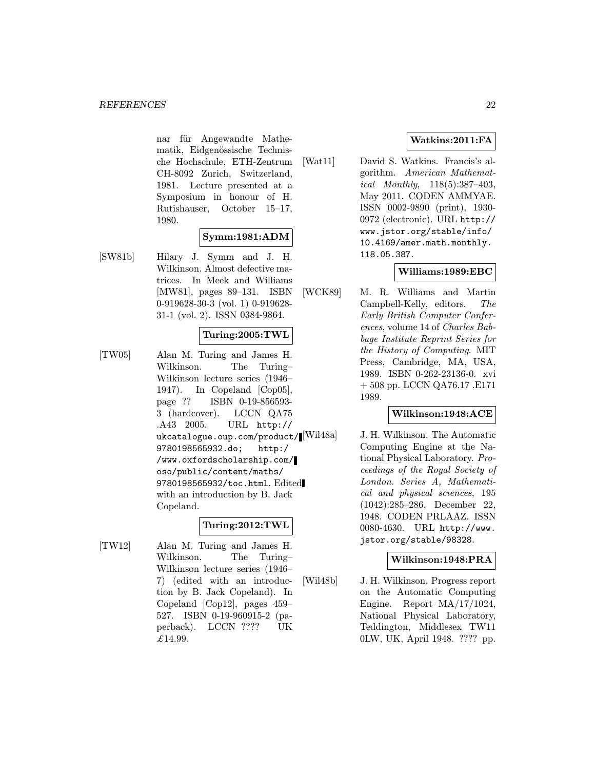nar für Angewandte Mathematik, Eidgenössische Technische Hochschule, ETH-Zentrum CH-8092 Zurich, Switzerland, 1981. Lecture presented at a Symposium in honour of H. Rutishauser, October 15–17, 1980.

# Symm:1981:ADM

[SW81b] Hilary J. Symm and J. H. Wilkinson. Almost defective matrices. In Meek and Williams [MW81], pages 89–131. ISBN 0-919628-30-3 (vol. 1) 0-919628- 31-1 (vol. 2). ISSN 0384-9864.

# Turing:2005:TWL

[TW05] Alan M. Turing and James H. Wilkinson. The Turing– Wilkinson lecture series (1946– 1947). In Copeland [Cop05], page ?? ISBN 0-19-856593- 3 (hardcover). LCCN QA75 .A43 2005. URL http:// ukcatalogue.oup.com/product/[Wil48a] 9780198565932.do; http:/ /www.oxfordscholarship.com/ oso/public/content/maths/ 9780198565932/toc.html. Edited with an introduction by B. Jack Copeland.

# Turing:2012:TWL

[TW12] Alan M. Turing and James H. Wilkinson. The Turing– Wilkinson lecture series (1946– 7) (edited with an introduction by B. Jack Copeland). In Copeland [Cop12], pages 459– 527. ISBN 0-19-960915-2 (paperback). LCCN ???? UK  $£14.99.$ 

# Watkins:2011:FA

[Wat11] David S. Watkins. Francis's algorithm. American Mathematical Monthly, 118(5):387–403, May 2011. CODEN AMMYAE. ISSN 0002-9890 (print), 1930- 0972 (electronic). URL http:// www.jstor.org/stable/info/ 10.4169/amer.math.monthly. 118.05.387.

# Williams:1989:EBC

[WCK89] M. R. Williams and Martin Campbell-Kelly, editors. The Early British Computer Conferences, volume 14 of Charles Babbage Institute Reprint Series for the History of Computing. MIT Press, Cambridge, MA, USA, 1989. ISBN 0-262-23136-0. xvi + 508 pp. LCCN QA76.17 .E171 1989.

# Wilkinson:1948:ACE

J. H. Wilkinson. The Automatic Computing Engine at the National Physical Laboratory. Proceedings of the Royal Society of London. Series A, Mathematical and physical sciences, 195 (1042):285–286, December 22, 1948. CODEN PRLAAZ. ISSN 0080-4630. URL http://www. jstor.org/stable/98328.

# Wilkinson:1948:PRA

[Wil48b] J. H. Wilkinson. Progress report on the Automatic Computing Engine. Report MA/17/1024, National Physical Laboratory, Teddington, Middlesex TW11 0LW, UK, April 1948. ???? pp.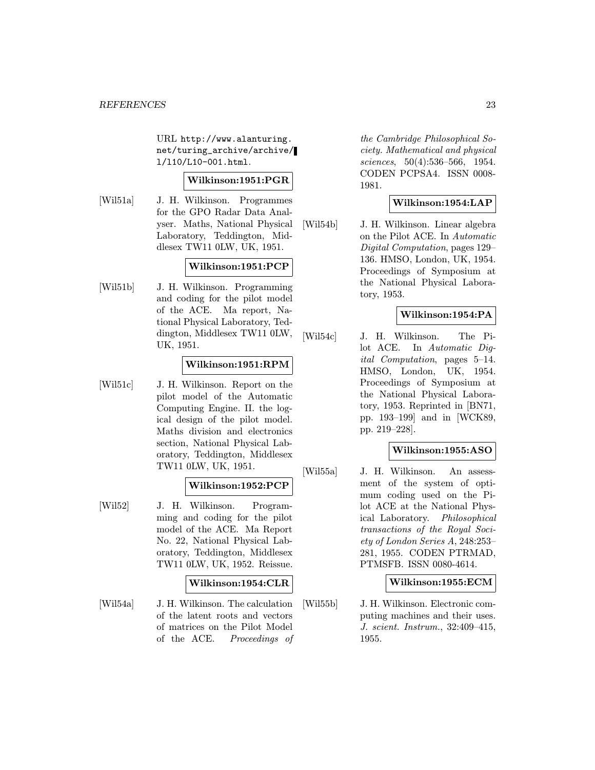URL http://www.alanturing. net/turing\_archive/archive/ l/l10/L10-001.html.

# Wilkinson:1951:PGR

[Wil51a] J. H. Wilkinson. Programmes for the GPO Radar Data Analyser. Maths, National Physical Laboratory, Teddington, Middlesex TW11 0LW, UK, 1951.

#### Wilkinson:1951:PCP

[Wil51b] J. H. Wilkinson. Programming and coding for the pilot model of the ACE. Ma report, National Physical Laboratory, Teddington, Middlesex TW11 0LW, UK, 1951.

#### Wilkinson:1951:RPM

[Wil51c] J. H. Wilkinson. Report on the pilot model of the Automatic Computing Engine. II. the logical design of the pilot model. Maths division and electronics section, National Physical Laboratory, Teddington, Middlesex TW11 0LW, UK, 1951.

#### Wilkinson:1952:PCP

[Wil52] J. H. Wilkinson. Programming and coding for the pilot model of the ACE. Ma Report No. 22, National Physical Laboratory, Teddington, Middlesex TW11 0LW, UK, 1952. Reissue.

#### Wilkinson:1954:CLR

[Wil54a] J. H. Wilkinson. The calculation of the latent roots and vectors of matrices on the Pilot Model of the ACE. Proceedings of

the Cambridge Philosophical Society. Mathematical and physical sciences, 50(4):536–566, 1954. CODEN PCPSA4. ISSN 0008- 1981.

# Wilkinson:1954:LAP

[Wil54b] J. H. Wilkinson. Linear algebra on the Pilot ACE. In Automatic Digital Computation, pages 129– 136. HMSO, London, UK, 1954. Proceedings of Symposium at the National Physical Laboratory, 1953.

# Wilkinson:1954:PA

[Wil54c] J. H. Wilkinson. The Pilot ACE. In Automatic Digital Computation, pages 5–14. HMSO, London, UK, 1954. Proceedings of Symposium at the National Physical Laboratory, 1953. Reprinted in [BN71, pp. 193–199] and in [WCK89, pp. 219–228].

# Wilkinson:1955:ASO

[Wil55a] J. H. Wilkinson. An assessment of the system of optimum coding used on the Pilot ACE at the National Physical Laboratory. Philosophical transactions of the Royal Society of London Series A, 248:253– 281, 1955. CODEN PTRMAD, PTMSFB. ISSN 0080-4614.

# Wilkinson:1955:ECM

[Wil55b] J. H. Wilkinson. Electronic computing machines and their uses. J. scient. Instrum., 32:409–415, 1955.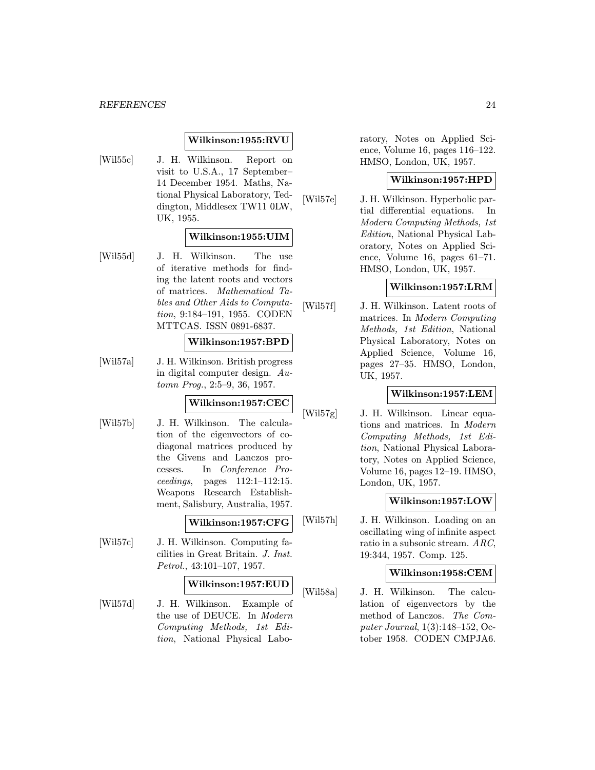# Wilkinson:1955:RVU

[Wil55c] J. H. Wilkinson. Report on visit to U.S.A., 17 September– 14 December 1954. Maths, National Physical Laboratory, Teddington, Middlesex TW11 0LW, UK, 1955.

# Wilkinson:1955:UIM

[Wil55d] J. H. Wilkinson. The use of iterative methods for finding the latent roots and vectors of matrices. Mathematical Tables and Other Aids to Computation, 9:184–191, 1955. CODEN MTTCAS. ISSN 0891-6837.

### Wilkinson:1957:BPD

[Wil57a] J. H. Wilkinson. British progress in digital computer design. Automn Prog., 2:5–9, 36, 1957.

# Wilkinson:1957:CEC

[Wil57b] J. H. Wilkinson. The calculation of the eigenvectors of codiagonal matrices produced by the Givens and Lanczos processes. In Conference Proceedings, pages 112:1–112:15. Weapons Research Establishment, Salisbury, Australia, 1957.

#### Wilkinson:1957:CFG

[Wil57c] J. H. Wilkinson. Computing facilities in Great Britain. J. Inst. Petrol., 43:101–107, 1957.

# Wilkinson:1957:EUD

[Wil57d] J. H. Wilkinson. Example of the use of DEUCE. In Modern Computing Methods, 1st Edition, National Physical Laboratory, Notes on Applied Science, Volume 16, pages 116–122. HMSO, London, UK, 1957.

# Wilkinson:1957:HPD

[Wil57e] J. H. Wilkinson. Hyperbolic partial differential equations. In Modern Computing Methods, 1st Edition, National Physical Laboratory, Notes on Applied Science, Volume 16, pages 61–71. HMSO, London, UK, 1957.

#### Wilkinson:1957:LRM

[Wil57f] J. H. Wilkinson. Latent roots of matrices. In Modern Computing Methods, 1st Edition, National Physical Laboratory, Notes on Applied Science, Volume 16, pages 27–35. HMSO, London, UK, 1957.

# Wilkinson:1957:LEM

[Wil57g] J. H. Wilkinson. Linear equations and matrices. In Modern Computing Methods, 1st Edition, National Physical Laboratory, Notes on Applied Science, Volume 16, pages 12–19. HMSO, London, UK, 1957.

### Wilkinson:1957:LOW

[Wil57h] J. H. Wilkinson. Loading on an oscillating wing of infinite aspect ratio in a subsonic stream. ARC, 19:344, 1957. Comp. 125.

#### Wilkinson:1958:CEM

[Wil58a] J. H. Wilkinson. The calculation of eigenvectors by the method of Lanczos. The Computer Journal, 1(3):148–152, October 1958. CODEN CMPJA6.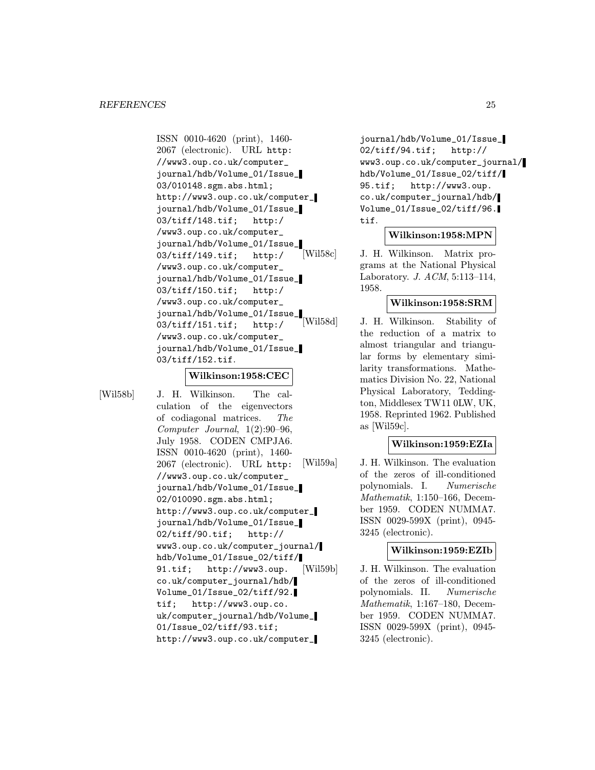ISSN 0010-4620 (print), 1460- 2067 (electronic). URL http: //www3.oup.co.uk/computer\_ journal/hdb/Volume\_01/Issue\_ 03/010148.sgm.abs.html; http://www3.oup.co.uk/computer\_ journal/hdb/Volume\_01/Issue\_ 03/tiff/148.tif; http:/ /www3.oup.co.uk/computer\_ journal/hdb/Volume\_01/Issue\_ 03/tiff/149.tif; http:/ /www3.oup.co.uk/computer\_ journal/hdb/Volume\_01/Issue\_ 03/tiff/150.tif; http:/ /www3.oup.co.uk/computer\_ journal/hdb/Volume\_01/Issue\_ 03/tiff/151.tif; http:/ /www3.oup.co.uk/computer\_ journal/hdb/Volume\_01/Issue\_ 03/tiff/152.tif.

#### Wilkinson:1958:CEC

[Wil58b] J. H. Wilkinson. The calculation of the eigenvectors of codiagonal matrices. The Computer Journal, 1(2):90–96, July 1958. CODEN CMPJA6. ISSN 0010-4620 (print), 1460- 2067 (electronic). URL http: //www3.oup.co.uk/computer\_ journal/hdb/Volume\_01/Issue\_ 02/010090.sgm.abs.html; http://www3.oup.co.uk/computer\_ journal/hdb/Volume\_01/Issue\_ 02/tiff/90.tif; http:// www3.oup.co.uk/computer\_journal/ hdb/Volume\_01/Issue\_02/tiff/ 91.tif; http://www3.oup. co.uk/computer\_journal/hdb/ Volume\_01/Issue\_02/tiff/92. tif; http://www3.oup.co. uk/computer\_journal/hdb/Volume\_ 01/Issue\_02/tiff/93.tif; http://www3.oup.co.uk/computer\_

journal/hdb/Volume\_01/Issue\_ 02/tiff/94.tif; http:// www3.oup.co.uk/computer\_journal/ hdb/Volume\_01/Issue\_02/tiff/ 95.tif; http://www3.oup. co.uk/computer\_journal/hdb/ Volume\_01/Issue\_02/tiff/96. tif.

#### Wilkinson:1958:MPN

[Wil58c] J. H. Wilkinson. Matrix programs at the National Physical Laboratory. J. ACM, 5:113–114, 1958.

# Wilkinson:1958:SRM

[Wil58d] J. H. Wilkinson. Stability of the reduction of a matrix to almost triangular and triangular forms by elementary similarity transformations. Mathematics Division No. 22, National Physical Laboratory, Teddington, Middlesex TW11 0LW, UK, 1958. Reprinted 1962. Published as [Wil59c].

# Wilkinson:1959:EZIa

[Wil59a] J. H. Wilkinson. The evaluation of the zeros of ill-conditioned polynomials. I. Numerische Mathematik, 1:150–166, December 1959. CODEN NUMMA7. ISSN 0029-599X (print), 0945- 3245 (electronic).

### Wilkinson:1959:EZIb

[Wil59b] J. H. Wilkinson. The evaluation of the zeros of ill-conditioned polynomials. II. Numerische Mathematik, 1:167–180, December 1959. CODEN NUMMA7. ISSN 0029-599X (print), 0945- 3245 (electronic).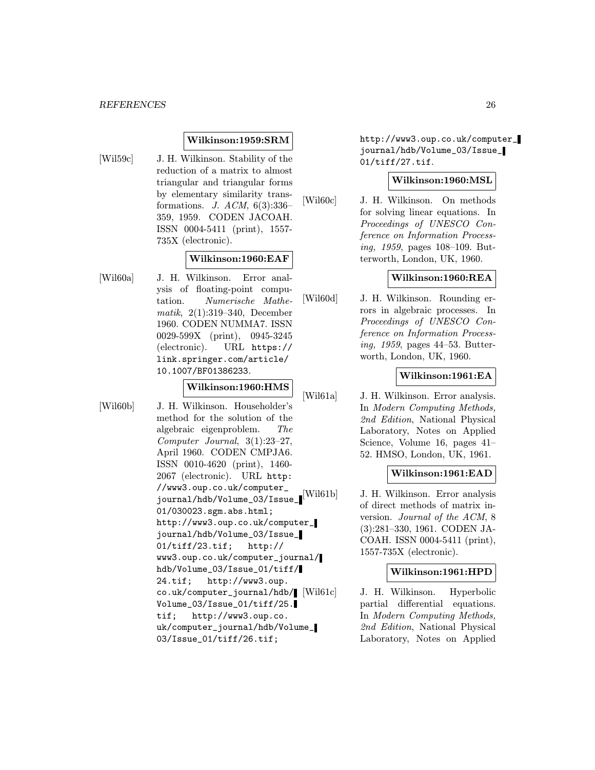# Wilkinson:1959:SRM

- 
- [Wil59c] J. H. Wilkinson. Stability of the reduction of a matrix to almost triangular and triangular forms by elementary similarity transformations. J. ACM, 6(3):336– 359, 1959. CODEN JACOAH. ISSN 0004-5411 (print), 1557- 735X (electronic).

# Wilkinson:1960:EAF

[Wil60a] J. H. Wilkinson. Error analysis of floating-point computation. Numerische Mathematik, 2(1):319–340, December 1960. CODEN NUMMA7. ISSN 0029-599X (print), 0945-3245 (electronic). URL https:// link.springer.com/article/ 10.1007/BF01386233.

# Wilkinson:1960:HMS

[Wil60b] J. H. Wilkinson. Householder's method for the solution of the algebraic eigenproblem. The Computer Journal, 3(1):23–27, April 1960. CODEN CMPJA6. ISSN 0010-4620 (print), 1460- 2067 (electronic). URL http: //www3.oup.co.uk/computer\_ journal/hdb/Volume\_03/Issue\_ 01/030023.sgm.abs.html; http://www3.oup.co.uk/computer\_ journal/hdb/Volume\_03/Issue\_ 01/tiff/23.tif; http:// www3.oup.co.uk/computer\_journal/ hdb/Volume\_03/Issue\_01/tiff/ 24.tif; http://www3.oup. co.uk/computer\_journal/hdb/ Volume\_03/Issue\_01/tiff/25. tif; http://www3.oup.co. uk/computer\_journal/hdb/Volume\_ 03/Issue\_01/tiff/26.tif;

http://www3.oup.co.uk/computer\_ journal/hdb/Volume\_03/Issue\_ 01/tiff/27.tif.

# Wilkinson:1960:MSL

[Wil60c] J. H. Wilkinson. On methods for solving linear equations. In Proceedings of UNESCO Conference on Information Processing, 1959, pages 108–109. Butterworth, London, UK, 1960.

# Wilkinson:1960:REA

[Wil60d] J. H. Wilkinson. Rounding errors in algebraic processes. In Proceedings of UNESCO Conference on Information Processing, 1959, pages 44–53. Butterworth, London, UK, 1960.

# Wilkinson:1961:EA

[Wil61a] J. H. Wilkinson. Error analysis. In Modern Computing Methods, 2nd Edition, National Physical Laboratory, Notes on Applied Science, Volume 16, pages 41– 52. HMSO, London, UK, 1961.

# Wilkinson:1961:EAD

[Wil61b] J. H. Wilkinson. Error analysis of direct methods of matrix inversion. Journal of the ACM, 8 (3):281–330, 1961. CODEN JA-COAH. ISSN 0004-5411 (print), 1557-735X (electronic).

# Wilkinson:1961:HPD

J. H. Wilkinson. Hyperbolic partial differential equations. In Modern Computing Methods, 2nd Edition, National Physical Laboratory, Notes on Applied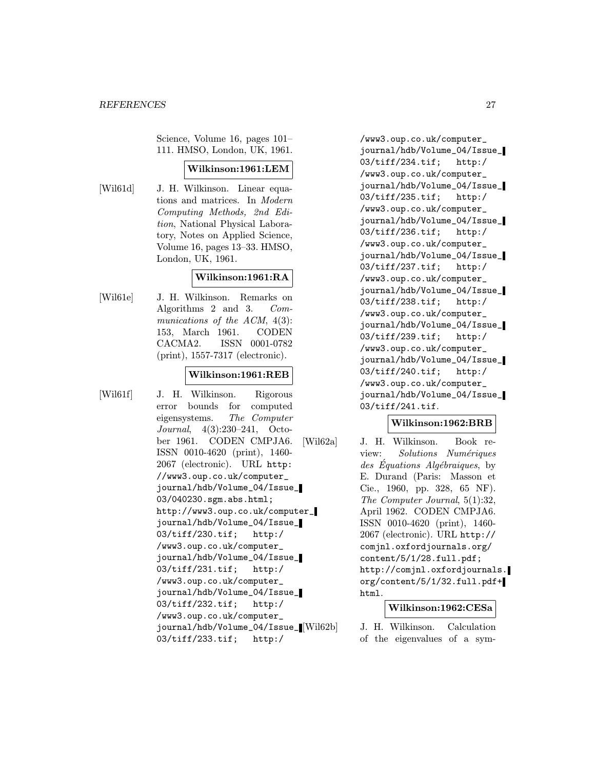Science, Volume 16, pages 101– 111. HMSO, London, UK, 1961.

# Wilkinson:1961:LEM

[Wil61d] J. H. Wilkinson. Linear equations and matrices. In Modern Computing Methods, 2nd Edition, National Physical Laboratory, Notes on Applied Science, Volume 16, pages 13–33. HMSO, London, UK, 1961.

# Wilkinson:1961:RA

[Wil61e] J. H. Wilkinson. Remarks on Algorithms 2 and 3. Communications of the ACM,  $4(3)$ : 153, March 1961. CODEN CACMA2. ISSN 0001-0782 (print), 1557-7317 (electronic).

#### Wilkinson:1961:REB

[Wil61f] J. H. Wilkinson. Rigorous error bounds for computed eigensystems. The Computer Journal, 4(3):230–241, October 1961. CODEN CMPJA6. ISSN 0010-4620 (print), 1460- 2067 (electronic). URL http: //www3.oup.co.uk/computer\_ journal/hdb/Volume\_04/Issue\_ 03/040230.sgm.abs.html; http://www3.oup.co.uk/computer\_ journal/hdb/Volume\_04/Issue\_ 03/tiff/230.tif; http:/ /www3.oup.co.uk/computer\_ journal/hdb/Volume\_04/Issue\_ 03/tiff/231.tif; http:/ /www3.oup.co.uk/computer\_ journal/hdb/Volume\_04/Issue\_ 03/tiff/232.tif; http:/ /www3.oup.co.uk/computer\_ journal/hdb/Volume\_04/Issue\_ 03/tiff/233.tif; http:/

/www3.oup.co.uk/computer\_ journal/hdb/Volume\_04/Issue\_ 03/tiff/234.tif; http:/ /www3.oup.co.uk/computer\_ journal/hdb/Volume\_04/Issue\_ 03/tiff/235.tif; http:/ /www3.oup.co.uk/computer\_ journal/hdb/Volume\_04/Issue\_ 03/tiff/236.tif; http:/ /www3.oup.co.uk/computer\_ journal/hdb/Volume\_04/Issue\_ 03/tiff/237.tif; http:/ /www3.oup.co.uk/computer\_ journal/hdb/Volume\_04/Issue\_ 03/tiff/238.tif; http:/ /www3.oup.co.uk/computer\_ journal/hdb/Volume\_04/Issue\_ 03/tiff/239.tif; http:/ /www3.oup.co.uk/computer\_ journal/hdb/Volume\_04/Issue\_ 03/tiff/240.tif; http:/ /www3.oup.co.uk/computer\_ journal/hdb/Volume\_04/Issue\_ 03/tiff/241.tif.

# Wilkinson:1962:BRB

[Wil62a] J. H. Wilkinson. Book review: Solutions Numériques  $des$  Equations Algébraiques, by E. Durand (Paris: Masson et Cie., 1960, pp. 328, 65 NF). The Computer Journal, 5(1):32, April 1962. CODEN CMPJA6. ISSN 0010-4620 (print), 1460- 2067 (electronic). URL http:// comjnl.oxfordjournals.org/ content/5/1/28.full.pdf; http://comjnl.oxfordjournals. org/content/5/1/32.full.pdf+ html.

# Wilkinson:1962:CESa

J. H. Wilkinson. Calculation of the eigenvalues of a sym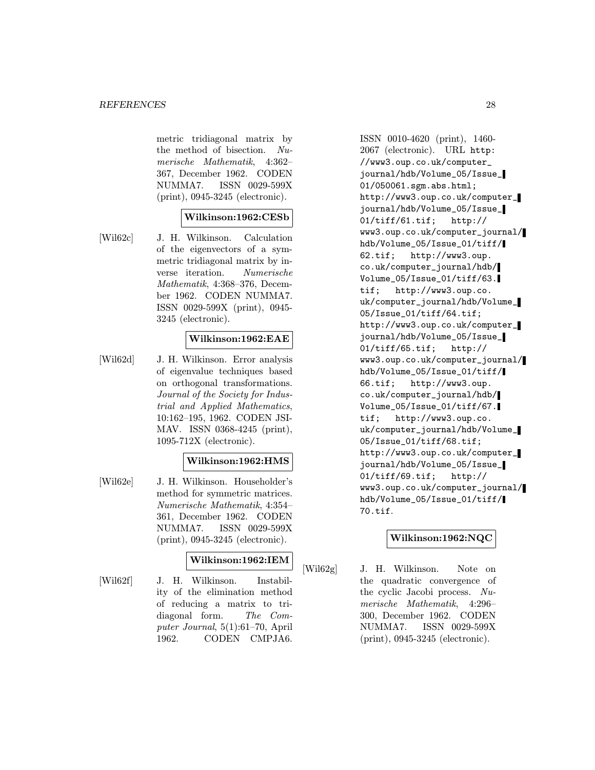metric tridiagonal matrix by the method of bisection. Numerische Mathematik, 4:362– 367, December 1962. CODEN NUMMA7. ISSN 0029-599X (print), 0945-3245 (electronic).

# Wilkinson:1962:CESb

[Wil62c] J. H. Wilkinson. Calculation of the eigenvectors of a symmetric tridiagonal matrix by inverse iteration. Numerische Mathematik, 4:368–376, December 1962. CODEN NUMMA7. ISSN 0029-599X (print), 0945- 3245 (electronic).

# Wilkinson:1962:EAE

[Wil62d] J. H. Wilkinson. Error analysis of eigenvalue techniques based on orthogonal transformations. Journal of the Society for Industrial and Applied Mathematics, 10:162–195, 1962. CODEN JSI-MAV. ISSN 0368-4245 (print), 1095-712X (electronic).

# Wilkinson:1962:HMS

[Wil62e] J. H. Wilkinson. Householder's method for symmetric matrices. Numerische Mathematik, 4:354– 361, December 1962. CODEN NUMMA7. ISSN 0029-599X (print), 0945-3245 (electronic).

# Wilkinson:1962:IEM

[Wil62f] J. H. Wilkinson. Instability of the elimination method of reducing a matrix to tridiagonal form. The Computer Journal, 5(1):61–70, April 1962. CODEN CMPJA6.

ISSN 0010-4620 (print), 1460- 2067 (electronic). URL http: //www3.oup.co.uk/computer\_ journal/hdb/Volume\_05/Issue\_ 01/050061.sgm.abs.html; http://www3.oup.co.uk/computer\_ journal/hdb/Volume\_05/Issue\_ 01/tiff/61.tif; http:// www3.oup.co.uk/computer\_journal/ hdb/Volume\_05/Issue\_01/tiff/ 62.tif; http://www3.oup. co.uk/computer\_journal/hdb/ Volume\_05/Issue\_01/tiff/63. tif; http://www3.oup.co. uk/computer\_journal/hdb/Volume\_ 05/Issue\_01/tiff/64.tif; http://www3.oup.co.uk/computer\_ journal/hdb/Volume\_05/Issue\_ 01/tiff/65.tif; http:// www3.oup.co.uk/computer\_journal/ hdb/Volume\_05/Issue\_01/tiff/ 66.tif; http://www3.oup. co.uk/computer\_journal/hdb/ Volume\_05/Issue\_01/tiff/67. tif; http://www3.oup.co. uk/computer\_journal/hdb/Volume\_ 05/Issue\_01/tiff/68.tif; http://www3.oup.co.uk/computer\_ journal/hdb/Volume\_05/Issue\_ 01/tiff/69.tif; http:// www3.oup.co.uk/computer\_journal/ hdb/Volume\_05/Issue\_01/tiff/ 70.tif.

# Wilkinson:1962:NQC

[Wil62g] J. H. Wilkinson. Note on the quadratic convergence of the cyclic Jacobi process. Numerische Mathematik, 4:296– 300, December 1962. CODEN NUMMA7. ISSN 0029-599X (print), 0945-3245 (electronic).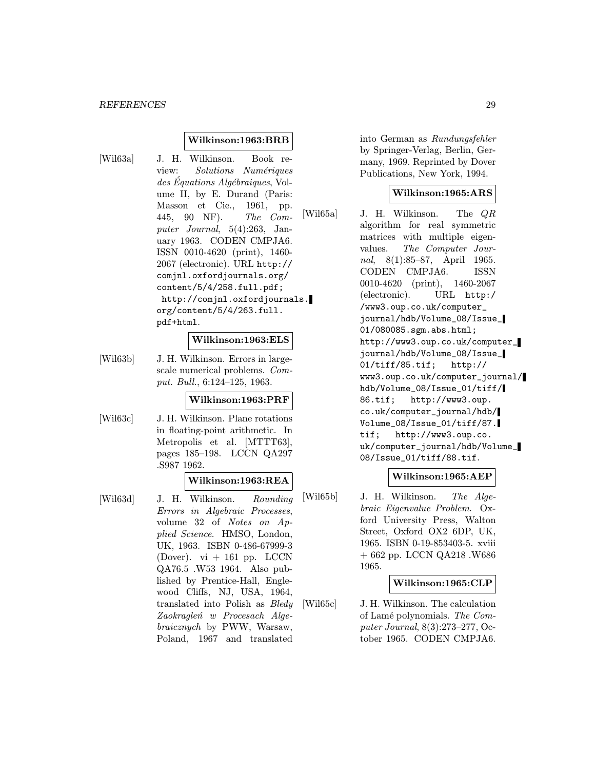### Wilkinson:1963:BRB

[Wil63a] J. H. Wilkinson. Book review: Solutions Numériques  $des$  Equations Algébraiques, Volume II, by E. Durand (Paris: Masson et Cie., 1961, pp. 445, 90 NF). The Computer Journal, 5(4):263, January 1963. CODEN CMPJA6. ISSN 0010-4620 (print), 1460- 2067 (electronic). URL http:// comjnl.oxfordjournals.org/ content/5/4/258.full.pdf; http://comjnl.oxfordjournals. org/content/5/4/263.full. pdf+html.

#### Wilkinson:1963:ELS

[Wil63b] J. H. Wilkinson. Errors in largescale numerical problems. Comput. Bull., 6:124–125, 1963.

#### Wilkinson:1963:PRF

[Wil63c] J. H. Wilkinson. Plane rotations in floating-point arithmetic. In Metropolis et al. [MTTT63], pages 185–198. LCCN QA297 .S987 1962.

#### Wilkinson:1963:REA

[Wil63d] J. H. Wilkinson. Rounding Errors in Algebraic Processes, volume 32 of Notes on Applied Science. HMSO, London, UK, 1963. ISBN 0-486-67999-3 (Dover).  $vi + 161$  pp. LCCN QA76.5 .W53 1964. Also published by Prentice-Hall, Englewood Cliffs, NJ, USA, 1964, translated into Polish as Bledy Zaokragleń w Procesach Algebraicznych by PWW, Warsaw, Poland, 1967 and translated

into German as Rundungsfehler by Springer-Verlag, Berlin, Germany, 1969. Reprinted by Dover Publications, New York, 1994.

# Wilkinson:1965:ARS

[Wil65a] J. H. Wilkinson. The QR algorithm for real symmetric matrices with multiple eigenvalues. The Computer Journal, 8(1):85–87, April 1965. CODEN CMPJA6. ISSN 0010-4620 (print), 1460-2067 (electronic). URL http:/ /www3.oup.co.uk/computer\_ journal/hdb/Volume\_08/Issue\_ 01/080085.sgm.abs.html; http://www3.oup.co.uk/computer\_ journal/hdb/Volume\_08/Issue\_ 01/tiff/85.tif; http:// www3.oup.co.uk/computer\_journal/ hdb/Volume\_08/Issue\_01/tiff/ 86.tif; http://www3.oup. co.uk/computer\_journal/hdb/ Volume\_08/Issue\_01/tiff/87. tif; http://www3.oup.co. uk/computer\_journal/hdb/Volume\_ 08/Issue\_01/tiff/88.tif.

# Wilkinson:1965:AEP

[Wil65b] J. H. Wilkinson. The Algebraic Eigenvalue Problem. Oxford University Press, Walton Street, Oxford OX2 6DP, UK, 1965. ISBN 0-19-853403-5. xviii + 662 pp. LCCN QA218 .W686 1965.

#### Wilkinson:1965:CLP

[Wil65c] J. H. Wilkinson. The calculation of Lam´e polynomials. The Computer Journal, 8(3):273–277, October 1965. CODEN CMPJA6.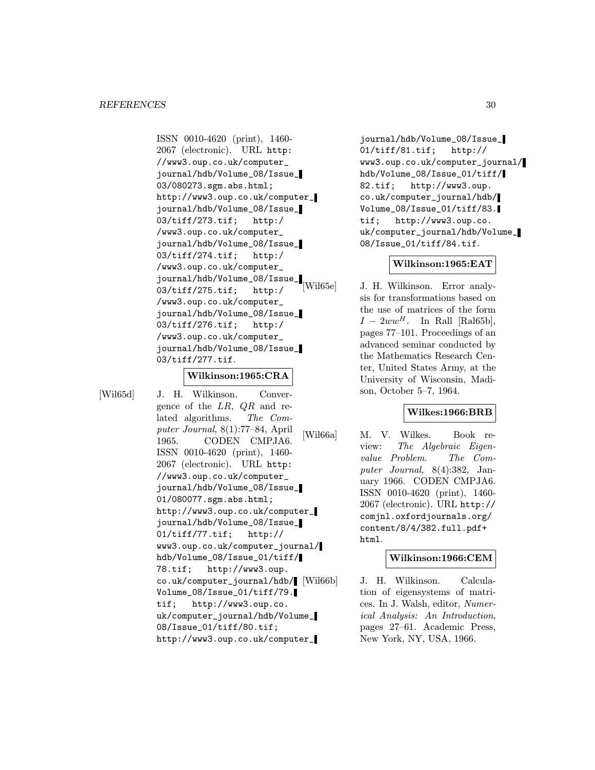ISSN 0010-4620 (print), 1460- 2067 (electronic). URL http: //www3.oup.co.uk/computer\_ journal/hdb/Volume\_08/Issue\_ 03/080273.sgm.abs.html; http://www3.oup.co.uk/computer\_ journal/hdb/Volume\_08/Issue\_ 03/tiff/273.tif; http:/ /www3.oup.co.uk/computer\_ journal/hdb/Volume\_08/Issue\_ 03/tiff/274.tif; http:/ /www3.oup.co.uk/computer\_ journal/hdb/Volume\_08/Issue\_ 03/tiff/275.tif; http:/ /www3.oup.co.uk/computer\_ journal/hdb/Volume\_08/Issue\_ 03/tiff/276.tif; http:/ /www3.oup.co.uk/computer\_ journal/hdb/Volume\_08/Issue\_ 03/tiff/277.tif.

#### Wilkinson:1965:CRA

[Wil65d] J. H. Wilkinson. Convergence of the  $LR$ ,  $QR$  and related algorithms. The Computer Journal, 8(1):77–84, April 1965. CODEN CMPJA6. ISSN 0010-4620 (print), 1460- 2067 (electronic). URL http: //www3.oup.co.uk/computer\_ journal/hdb/Volume\_08/Issue\_ 01/080077.sgm.abs.html; http://www3.oup.co.uk/computer\_ journal/hdb/Volume\_08/Issue\_ 01/tiff/77.tif; http:// www3.oup.co.uk/computer\_journal/ hdb/Volume\_08/Issue\_01/tiff/ 78.tif; http://www3.oup. co.uk/computer\_journal/hdb/ Volume\_08/Issue\_01/tiff/79. tif; http://www3.oup.co. uk/computer\_journal/hdb/Volume\_ 08/Issue\_01/tiff/80.tif; http://www3.oup.co.uk/computer\_

journal/hdb/Volume\_08/Issue\_ 01/tiff/81.tif; http:// www3.oup.co.uk/computer\_journal/ hdb/Volume\_08/Issue\_01/tiff/ 82.tif; http://www3.oup. co.uk/computer\_journal/hdb/ Volume\_08/Issue\_01/tiff/83. tif; http://www3.oup.co. uk/computer\_journal/hdb/Volume\_ 08/Issue\_01/tiff/84.tif.

#### Wilkinson:1965:EAT

[Wil65e] J. H. Wilkinson. Error analysis for transformations based on the use of matrices of the form  $I - 2ww^H$ . In Rall [Ral65b], pages 77–101. Proceedings of an advanced seminar conducted by the Mathematics Research Center, United States Army, at the University of Wisconsin, Madison, October 5–7, 1964.

# Wilkes:1966:BRB

[Wil66a] M. V. Wilkes. Book review: The Algebraic Eigenvalue Problem. The Computer Journal, 8(4):382, January 1966. CODEN CMPJA6. ISSN 0010-4620 (print), 1460- 2067 (electronic). URL http:// comjnl.oxfordjournals.org/ content/8/4/382.full.pdf+ html.

#### Wilkinson:1966:CEM

J. H. Wilkinson. Calculation of eigensystems of matrices. In J. Walsh, editor, Numerical Analysis: An Introduction, pages 27–61. Academic Press, New York, NY, USA, 1966.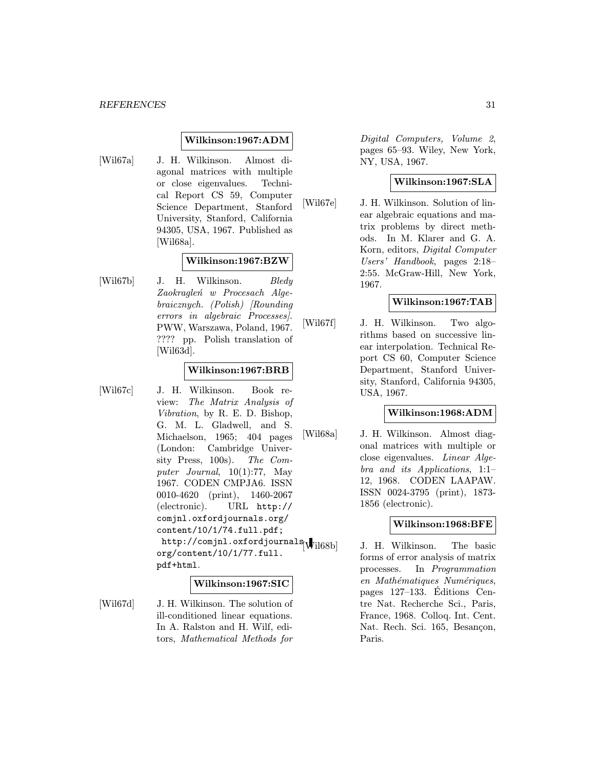# Wilkinson:1967:ADM

[Wil67a] J. H. Wilkinson. Almost diagonal matrices with multiple or close eigenvalues. Technical Report CS 59, Computer Science Department, Stanford University, Stanford, California 94305, USA, 1967. Published as [Wil68a].

# Wilkinson:1967:BZW

[Wil67b] J. H. Wilkinson. Bledy Zaokragleń w Procesach Algebraicznych. (Polish) [Rounding errors in algebraic Processes]. PWW, Warszawa, Poland, 1967. ???? pp. Polish translation of [Wil63d].

# Wilkinson:1967:BRB

[Wil67c] J. H. Wilkinson. Book review: The Matrix Analysis of Vibration, by R. E. D. Bishop, G. M. L. Gladwell, and S. Michaelson, 1965; 404 pages (London: Cambridge University Press, 100s). The Computer Journal, 10(1):77, May 1967. CODEN CMPJA6. ISSN 0010-4620 (print), 1460-2067 (electronic). URL http:// comjnl.oxfordjournals.org/ content/10/1/74.full.pdf; http://comjnl.oxfordjournals $\vert$ Wil68b] org/content/10/1/77.full. pdf+html.

#### Wilkinson:1967:SIC

[Wil67d] J. H. Wilkinson. The solution of ill-conditioned linear equations. In A. Ralston and H. Wilf, editors, Mathematical Methods for

Digital Computers, Volume 2, pages 65–93. Wiley, New York, NY, USA, 1967.

# Wilkinson:1967:SLA

[Wil67e] J. H. Wilkinson. Solution of linear algebraic equations and matrix problems by direct methods. In M. Klarer and G. A. Korn, editors, Digital Computer Users' Handbook, pages 2:18– 2:55. McGraw-Hill, New York, 1967.

# Wilkinson:1967:TAB

[Wil67f] J. H. Wilkinson. Two algorithms based on successive linear interpolation. Technical Report CS 60, Computer Science Department, Stanford University, Stanford, California 94305, USA, 1967.

#### Wilkinson:1968:ADM

[Wil68a] J. H. Wilkinson. Almost diagonal matrices with multiple or close eigenvalues. Linear Algebra and its Applications, 1:1– 12, 1968. CODEN LAAPAW. ISSN 0024-3795 (print), 1873- 1856 (electronic).

# Wilkinson:1968:BFE

J. H. Wilkinson. The basic forms of error analysis of matrix processes. In Programmation en Mathématiques Numériques, pages 127–133. Editions Cen- ´ tre Nat. Recherche Sci., Paris, France, 1968. Colloq. Int. Cent. Nat. Rech. Sci. 165, Besancon, Paris.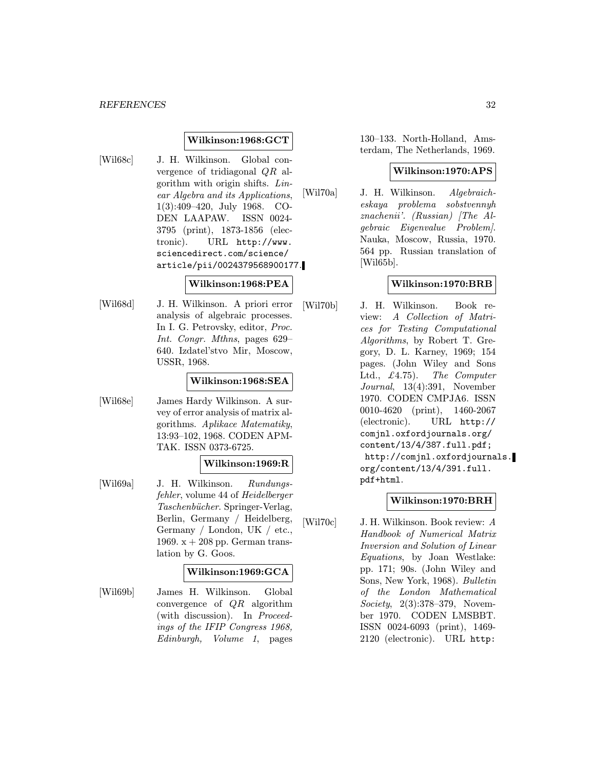### Wilkinson:1968:GCT

- 
- [Wil68c] J. H. Wilkinson. Global convergence of tridiagonal QR algorithm with origin shifts. Linear Algebra and its Applications, 1(3):409–420, July 1968. CO-DEN LAAPAW. ISSN 0024- 3795 (print), 1873-1856 (electronic). URL http://www. sciencedirect.com/science/ article/pii/0024379568900177.

### Wilkinson:1968:PEA

[Wil68d] J. H. Wilkinson. A priori error analysis of algebraic processes. In I. G. Petrovsky, editor, Proc. Int. Congr. Mthns, pages 629– 640. Izdatel'stvo Mir, Moscow, USSR, 1968.

#### Wilkinson:1968:SEA

[Wil68e] James Hardy Wilkinson. A survey of error analysis of matrix algorithms. Aplikace Matematiky, 13:93–102, 1968. CODEN APM-TAK. ISSN 0373-6725.

# Wilkinson:1969:R

[Wil69a] J. H. Wilkinson. Rundungsfehler, volume 44 of Heidelberger Taschenbücher. Springer-Verlag, Berlin, Germany / Heidelberg, Germany / London, UK / etc., 1969.  $x + 208$  pp. German translation by G. Goos.

# Wilkinson:1969:GCA

[Wil69b] James H. Wilkinson. Global convergence of  $QR$  algorithm (with discussion). In Proceedings of the IFIP Congress 1968, Edinburgh, Volume 1, pages

130–133. North-Holland, Amsterdam, The Netherlands, 1969.

### Wilkinson:1970:APS

[Wil70a] J. H. Wilkinson. Algebraicheskaya problema sobstvennyh znachenii'. (Russian) [The Algebraic Eigenvalue Problem]. Nauka, Moscow, Russia, 1970. 564 pp. Russian translation of [Wil65b].

# Wilkinson:1970:BRB

[Wil70b] J. H. Wilkinson. Book review: A Collection of Matrices for Testing Computational Algorithms, by Robert T. Gregory, D. L. Karney, 1969; 154 pages. (John Wiley and Sons Ltd.,  $\pounds$ 4.75). The Computer Journal, 13(4):391, November 1970. CODEN CMPJA6. ISSN 0010-4620 (print), 1460-2067 (electronic). URL http:// comjnl.oxfordjournals.org/ content/13/4/387.full.pdf; http://comjnl.oxfordjournals. org/content/13/4/391.full. pdf+html.

# Wilkinson:1970:BRH

[Wil70c] J. H. Wilkinson. Book review: A Handbook of Numerical Matrix Inversion and Solution of Linear Equations, by Joan Westlake: pp. 171; 90s. (John Wiley and Sons, New York, 1968). Bulletin of the London Mathematical Society, 2(3):378–379, November 1970. CODEN LMSBBT. ISSN 0024-6093 (print), 1469- 2120 (electronic). URL http: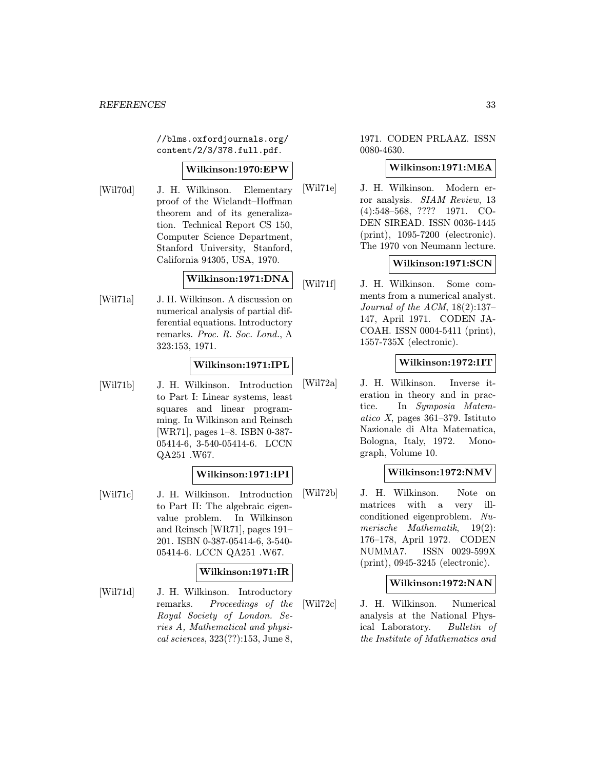//blms.oxfordjournals.org/ content/2/3/378.full.pdf.

# Wilkinson:1970:EPW

[Wil70d] J. H. Wilkinson. Elementary proof of the Wielandt–Hoffman theorem and of its generalization. Technical Report CS 150, Computer Science Department, Stanford University, Stanford, California 94305, USA, 1970.

# Wilkinson:1971:DNA

[Wil71a] J. H. Wilkinson. A discussion on numerical analysis of partial differential equations. Introductory remarks. Proc. R. Soc. Lond., A 323:153, 1971.

# Wilkinson:1971:IPL

[Wil71b] J. H. Wilkinson. Introduction to Part I: Linear systems, least squares and linear programming. In Wilkinson and Reinsch [WR71], pages 1–8. ISBN 0-387- 05414-6, 3-540-05414-6. LCCN QA251 .W67.

# Wilkinson:1971:IPI

[Wil71c] J. H. Wilkinson. Introduction to Part II: The algebraic eigenvalue problem. In Wilkinson and Reinsch [WR71], pages 191– 201. ISBN 0-387-05414-6, 3-540- 05414-6. LCCN QA251 .W67.

# Wilkinson:1971:IR

[Wil71d] J. H. Wilkinson. Introductory remarks. Proceedings of the Royal Society of London. Series A, Mathematical and physical sciences, 323(??):153, June 8,

1971. CODEN PRLAAZ. ISSN 0080-4630.

### Wilkinson:1971:MEA

[Wil71e] J. H. Wilkinson. Modern error analysis. SIAM Review, 13 (4):548–568, ???? 1971. CO-DEN SIREAD. ISSN 0036-1445 (print), 1095-7200 (electronic). The 1970 von Neumann lecture.

# Wilkinson:1971:SCN

[Wil71f] J. H. Wilkinson. Some comments from a numerical analyst. Journal of the ACM, 18(2):137– 147, April 1971. CODEN JA-COAH. ISSN 0004-5411 (print), 1557-735X (electronic).

# Wilkinson:1972:IIT

[Wil72a] J. H. Wilkinson. Inverse iteration in theory and in practice. In Symposia Matematico X, pages 361–379. Istituto Nazionale di Alta Matematica, Bologna, Italy, 1972. Monograph, Volume 10.

# Wilkinson:1972:NMV

[Wil72b] J. H. Wilkinson. Note on matrices with a very illconditioned eigenproblem. Numerische Mathematik, 19(2): 176–178, April 1972. CODEN NUMMA7. ISSN 0029-599X (print), 0945-3245 (electronic).

#### Wilkinson:1972:NAN

[Wil72c] J. H. Wilkinson. Numerical analysis at the National Physical Laboratory. Bulletin of the Institute of Mathematics and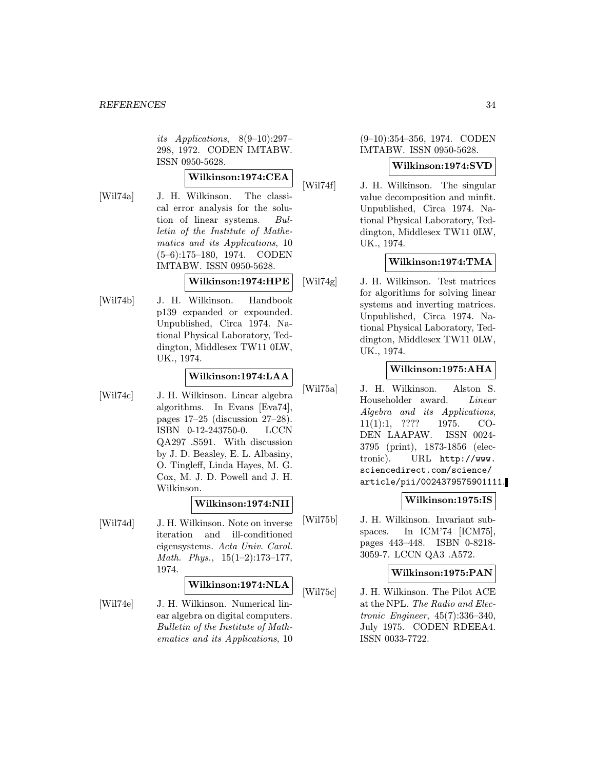its Applications, 8(9–10):297– 298, 1972. CODEN IMTABW. ISSN 0950-5628.

# Wilkinson:1974:CEA

[Wil74a] J. H. Wilkinson. The classical error analysis for the solution of linear systems. Bulletin of the Institute of Mathematics and its Applications, 10 (5–6):175–180, 1974. CODEN IMTABW. ISSN 0950-5628.

# Wilkinson:1974:HPE

[Wil74b] J. H. Wilkinson. Handbook p139 expanded or expounded. Unpublished, Circa 1974. National Physical Laboratory, Teddington, Middlesex TW11 0LW, UK., 1974.

# Wilkinson:1974:LAA

[Wil74c] J. H. Wilkinson. Linear algebra algorithms. In Evans [Eva74], pages 17–25 (discussion 27–28). ISBN 0-12-243750-0. LCCN QA297 .S591. With discussion by J. D. Beasley, E. L. Albasiny, O. Tingleff, Linda Hayes, M. G. Cox, M. J. D. Powell and J. H. Wilkinson.

# Wilkinson:1974:NII

[Wil74d] J. H. Wilkinson. Note on inverse iteration and ill-conditioned eigensystems. Acta Univ. Carol. Math. Phys., 15(1–2):173–177, 1974.

# Wilkinson:1974:NLA

[Wil74e] J. H. Wilkinson. Numerical linear algebra on digital computers. Bulletin of the Institute of Mathematics and its Applications, 10

(9–10):354–356, 1974. CODEN IMTABW. ISSN 0950-5628.

# Wilkinson:1974:SVD

[Wil74f] J. H. Wilkinson. The singular value decomposition and minfit. Unpublished, Circa 1974. National Physical Laboratory, Teddington, Middlesex TW11 0LW, UK., 1974.

# Wilkinson:1974:TMA

[Wil74g] J. H. Wilkinson. Test matrices for algorithms for solving linear systems and inverting matrices. Unpublished, Circa 1974. National Physical Laboratory, Teddington, Middlesex TW11 0LW, UK., 1974.

# Wilkinson:1975:AHA

[Wil75a] J. H. Wilkinson. Alston S. Householder award. Linear Algebra and its Applications, 11(1):1, ???? 1975. CO-DEN LAAPAW. ISSN 0024- 3795 (print), 1873-1856 (electronic). URL http://www. sciencedirect.com/science/ article/pii/0024379575901111.

# Wilkinson:1975:IS

[Wil75b] J. H. Wilkinson. Invariant subspaces. In ICM'74 [ICM75], pages 443–448. ISBN 0-8218- 3059-7. LCCN QA3 .A572.

# Wilkinson:1975:PAN

[Wil75c] J. H. Wilkinson. The Pilot ACE at the NPL. The Radio and Electronic Engineer, 45(7):336–340, July 1975. CODEN RDEEA4. ISSN 0033-7722.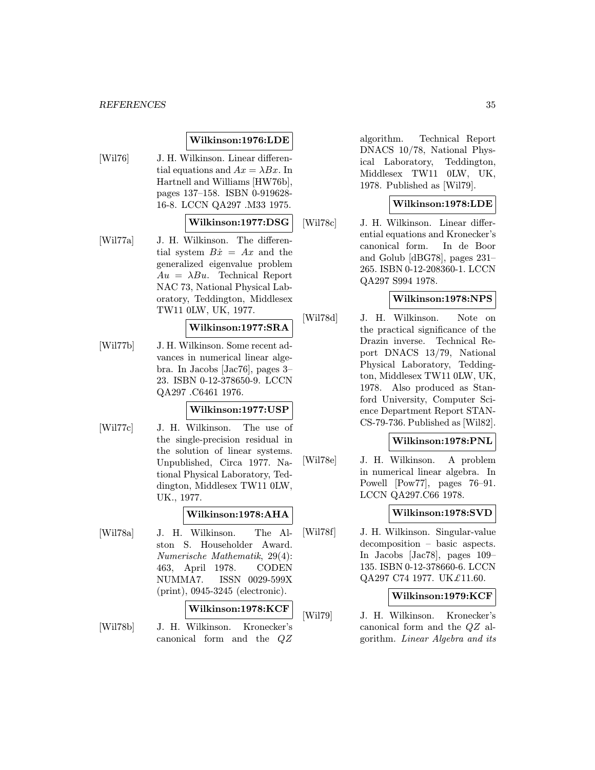#### REFERENCES 35

#### Wilkinson:1976:LDE

[Wil76] J. H. Wilkinson. Linear differential equations and  $Ax = \lambda Bx$ . In Hartnell and Williams [HW76b], pages 137–158. ISBN 0-919628- 16-8. LCCN QA297 .M33 1975.

# Wilkinson:1977:DSG

[Wil77a] J. H. Wilkinson. The differential system  $B\dot{x} = Ax$  and the generalized eigenvalue problem  $Au = \lambda Bu$ . Technical Report NAC 73, National Physical Laboratory, Teddington, Middlesex TW11 0LW, UK, 1977.

#### Wilkinson:1977:SRA

[Wil77b] J. H. Wilkinson. Some recent advances in numerical linear algebra. In Jacobs [Jac76], pages 3– 23. ISBN 0-12-378650-9. LCCN QA297 .C6461 1976.

# Wilkinson:1977:USP

[Wil77c] J. H. Wilkinson. The use of the single-precision residual in the solution of linear systems. Unpublished, Circa 1977. National Physical Laboratory, Teddington, Middlesex TW11 0LW, UK., 1977.

#### Wilkinson:1978:AHA

[Wil78a] J. H. Wilkinson. The Alston S. Householder Award. Numerische Mathematik, 29(4): 463, April 1978. CODEN NUMMA7. ISSN 0029-599X (print), 0945-3245 (electronic).

#### Wilkinson:1978:KCF

[Wil78b] J. H. Wilkinson. Kronecker's canonical form and the QZ

algorithm. Technical Report DNACS 10/78, National Physical Laboratory, Teddington, Middlesex TW11 0LW, UK, 1978. Published as [Wil79].

# Wilkinson:1978:LDE

[Wil78c] J. H. Wilkinson. Linear differential equations and Kronecker's canonical form. In de Boor and Golub [dBG78], pages 231– 265. ISBN 0-12-208360-1. LCCN QA297 S994 1978.

# Wilkinson:1978:NPS

[Wil78d] J. H. Wilkinson. Note on the practical significance of the Drazin inverse. Technical Report DNACS 13/79, National Physical Laboratory, Teddington, Middlesex TW11 0LW, UK, 1978. Also produced as Stanford University, Computer Science Department Report STAN-CS-79-736. Published as [Wil82].

#### Wilkinson:1978:PNL

[Wil78e] J. H. Wilkinson. A problem in numerical linear algebra. In Powell [Pow77], pages 76–91. LCCN QA297.C66 1978.

# Wilkinson:1978:SVD

[Wil78f] J. H. Wilkinson. Singular-value decomposition – basic aspects. In Jacobs [Jac78], pages 109– 135. ISBN 0-12-378660-6. LCCN QA297 C74 1977. UK $£11.60$ .

# Wilkinson:1979:KCF

[Wil79] J. H. Wilkinson. Kronecker's canonical form and the QZ algorithm. Linear Algebra and its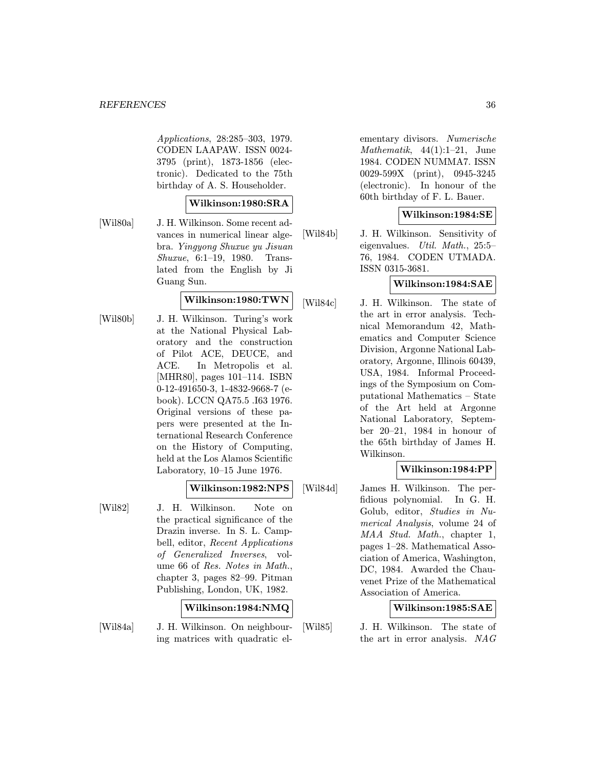Applications, 28:285–303, 1979. CODEN LAAPAW. ISSN 0024- 3795 (print), 1873-1856 (electronic). Dedicated to the 75th birthday of A. S. Householder.

#### Wilkinson:1980:SRA

[Wil80a] J. H. Wilkinson. Some recent advances in numerical linear algebra. Yingyong Shuxue yu Jisuan Shuxue, 6:1–19, 1980. Translated from the English by Ji Guang Sun.

# Wilkinson:1980:TWN

[Wil80b] J. H. Wilkinson. Turing's work at the National Physical Laboratory and the construction of Pilot ACE, DEUCE, and ACE. In Metropolis et al. [MHR80], pages 101–114. ISBN 0-12-491650-3, 1-4832-9668-7 (ebook). LCCN QA75.5 .I63 1976. Original versions of these papers were presented at the International Research Conference on the History of Computing, held at the Los Alamos Scientific Laboratory, 10–15 June 1976.

# Wilkinson:1982:NPS

[Wil82] J. H. Wilkinson. Note on the practical significance of the Drazin inverse. In S. L. Campbell, editor, Recent Applications of Generalized Inverses, volume 66 of Res. Notes in Math., chapter 3, pages 82–99. Pitman Publishing, London, UK, 1982.

# Wilkinson:1984:NMQ

[Wil84a] J. H. Wilkinson. On neighbouring matrices with quadratic el-

ementary divisors. Numerische Mathematik,  $44(1):1-21$ , June 1984. CODEN NUMMA7. ISSN 0029-599X (print), 0945-3245 (electronic). In honour of the 60th birthday of F. L. Bauer.

# Wilkinson:1984:SE

[Wil84b] J. H. Wilkinson. Sensitivity of eigenvalues. Util. Math., 25:5– 76, 1984. CODEN UTMADA. ISSN 0315-3681.

# Wilkinson:1984:SAE

[Wil84c] J. H. Wilkinson. The state of the art in error analysis. Technical Memorandum 42, Mathematics and Computer Science Division, Argonne National Laboratory, Argonne, Illinois 60439, USA, 1984. Informal Proceedings of the Symposium on Computational Mathematics – State of the Art held at Argonne National Laboratory, September 20–21, 1984 in honour of the 65th birthday of James H. Wilkinson.

# Wilkinson:1984:PP

[Wil84d] James H. Wilkinson. The perfidious polynomial. In G. H. Golub, editor, Studies in Numerical Analysis, volume 24 of MAA Stud. Math., chapter 1, pages 1–28. Mathematical Association of America, Washington, DC, 1984. Awarded the Chauvenet Prize of the Mathematical Association of America.

# Wilkinson:1985:SAE

[Wil85] J. H. Wilkinson. The state of the art in error analysis. NAG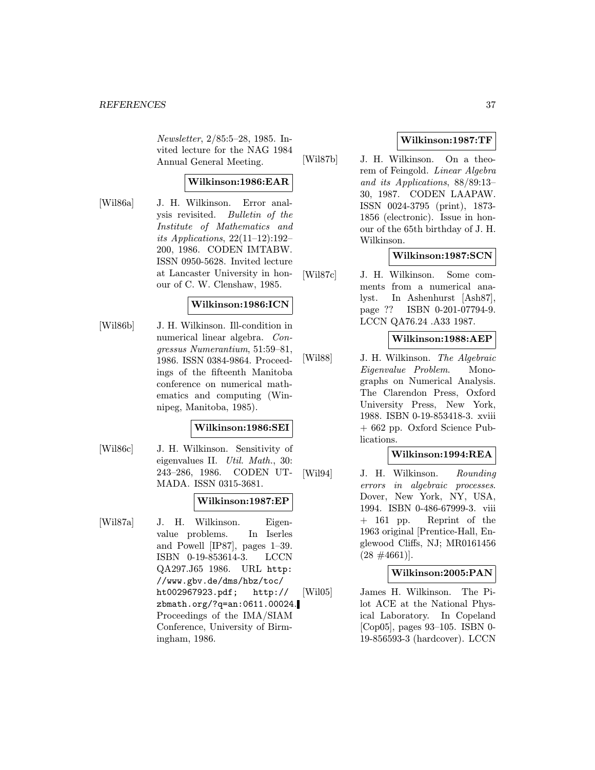Newsletter, 2/85:5–28, 1985. Invited lecture for the NAG 1984 Annual General Meeting.

# Wilkinson:1986:EAR

[Wil86a] J. H. Wilkinson. Error analysis revisited. Bulletin of the Institute of Mathematics and its Applications,  $22(11-12):192-$ 200, 1986. CODEN IMTABW. ISSN 0950-5628. Invited lecture at Lancaster University in honour of C. W. Clenshaw, 1985.

# Wilkinson:1986:ICN

[Wil86b] J. H. Wilkinson. Ill-condition in numerical linear algebra. Congressus Numerantium, 51:59–81, 1986. ISSN 0384-9864. Proceedings of the fifteenth Manitoba conference on numerical mathematics and computing (Winnipeg, Manitoba, 1985).

# Wilkinson:1986:SEI

[Wil86c] J. H. Wilkinson. Sensitivity of eigenvalues II. Util. Math., 30: 243–286, 1986. CODEN UT-MADA. ISSN 0315-3681.

#### Wilkinson:1987:EP

[Wil87a] J. H. Wilkinson. Eigenvalue problems. In Iserles and Powell [IP87], pages 1–39. ISBN 0-19-853614-3. LCCN QA297.J65 1986. URL http: //www.gbv.de/dms/hbz/toc/ ht002967923.pdf; http:// zbmath.org/?q=an:0611.00024. Proceedings of the IMA/SIAM Conference, University of Birmingham, 1986.

# Wilkinson:1987:TF

[Wil87b] J. H. Wilkinson. On a theorem of Feingold. Linear Algebra and its Applications, 88/89:13– 30, 1987. CODEN LAAPAW. ISSN 0024-3795 (print), 1873- 1856 (electronic). Issue in honour of the 65th birthday of J. H. Wilkinson.

# Wilkinson:1987:SCN

[Wil87c] J. H. Wilkinson. Some comments from a numerical analyst. In Ashenhurst [Ash87], page ?? ISBN 0-201-07794-9. LCCN QA76.24 .A33 1987.

# Wilkinson:1988:AEP

[Wil88] J. H. Wilkinson. The Algebraic Eigenvalue Problem. Monographs on Numerical Analysis. The Clarendon Press, Oxford University Press, New York, 1988. ISBN 0-19-853418-3. xviii + 662 pp. Oxford Science Publications.

# Wilkinson:1994:REA

[Wil94] J. H. Wilkinson. Rounding errors in algebraic processes. Dover, New York, NY, USA, 1994. ISBN 0-486-67999-3. viii + 161 pp. Reprint of the 1963 original [Prentice-Hall, Englewood Cliffs, NJ; MR0161456  $(28 \#4661)$ .

# Wilkinson:2005:PAN

[Wil05] James H. Wilkinson. The Pilot ACE at the National Physical Laboratory. In Copeland [Cop05], pages 93–105. ISBN 0- 19-856593-3 (hardcover). LCCN